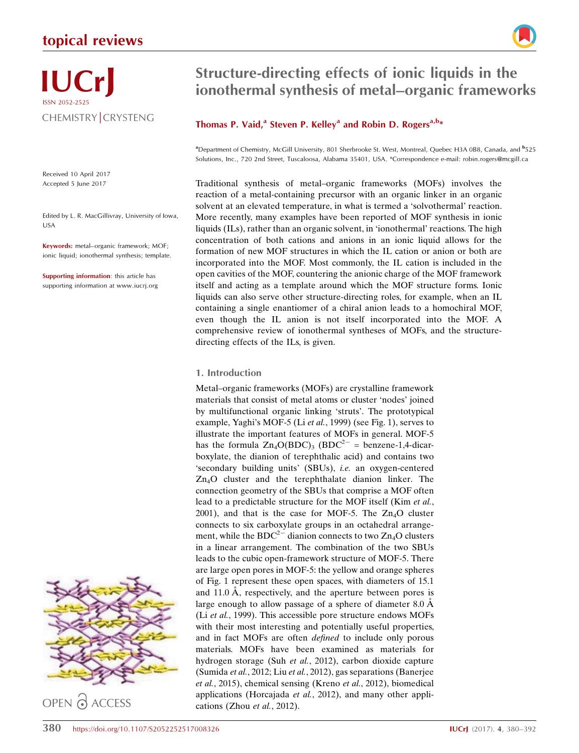## topical reviews



# IUCrJ ISSN 2052-2525 CHEMISTRY CRYSTENG

Received 10 April 2017 Accepted 5 June 2017

Edited by L. R. MacGillivray, University of Iowa, USA

Keywords: metal–organic framework; MOF; ionic liquid; ionothermal synthesis; template.

Supporting information: this article has supporting information at www.iucrj.org



## Structure-directing effects of ionic liquids in the ionothermal synthesis of metal–organic frameworks

## Thomas P. Vaid,<sup>a</sup> Steven P. Kelley<sup>a</sup> and Robin D. Rogers<sup>a,b\*</sup>

<sup>a</sup> Department of Chemistry, McGill University, 801 Sherbrooke St. West, Montreal, Quebec H3A 0B8, Canada, and <sup>b</sup>525 Solutions, Inc., 720 2nd Street, Tuscaloosa, Alabama 35401, USA. \*Correspondence e-mail: robin.rogers@mcgill.ca

Traditional synthesis of metal–organic frameworks (MOFs) involves the reaction of a metal-containing precursor with an organic linker in an organic solvent at an elevated temperature, in what is termed a 'solvothermal' reaction. More recently, many examples have been reported of MOF synthesis in ionic liquids (ILs), rather than an organic solvent, in 'ionothermal' reactions. The high concentration of both cations and anions in an ionic liquid allows for the formation of new MOF structures in which the IL cation or anion or both are incorporated into the MOF. Most commonly, the IL cation is included in the open cavities of the MOF, countering the anionic charge of the MOF framework itself and acting as a template around which the MOF structure forms. Ionic liquids can also serve other structure-directing roles, for example, when an IL containing a single enantiomer of a chiral anion leads to a homochiral MOF, even though the IL anion is not itself incorporated into the MOF. A comprehensive review of ionothermal syntheses of MOFs, and the structuredirecting effects of the ILs, is given.

## 1. Introduction

Metal–organic frameworks (MOFs) are crystalline framework materials that consist of metal atoms or cluster 'nodes' joined by multifunctional organic linking 'struts'. The prototypical example, Yaghi's MOF-5 (Li et al., 1999) (see Fig. 1), serves to illustrate the important features of MOFs in general. MOF-5 has the formula  $\text{Zn}_4\text{O}(\text{BDC})_3$  (BDC<sup>2-</sup> = benzene-1,4-dicarboxylate, the dianion of terephthalic acid) and contains two 'secondary building units' (SBUs), i.e. an oxygen-centered Zn4O cluster and the terephthalate dianion linker. The connection geometry of the SBUs that comprise a MOF often lead to a predictable structure for the MOF itself (Kim et al., 2001), and that is the case for MOF-5. The  $Zn<sub>4</sub>O$  cluster connects to six carboxylate groups in an octahedral arrangement, while the  $BDC^{2-}$  dianion connects to two  $Zn_4O$  clusters in a linear arrangement. The combination of the two SBUs leads to the cubic open-framework structure of MOF-5. There are large open pores in MOF-5: the yellow and orange spheres of Fig. 1 represent these open spaces, with diameters of 15.1 and  $11.0 \text{ Å}$ , respectively, and the aperture between pores is large enough to allow passage of a sphere of diameter  $8.0 \text{ Å}$ (Li et al., 1999). This accessible pore structure endows MOFs with their most interesting and potentially useful properties, and in fact MOFs are often defined to include only porous materials. MOFs have been examined as materials for hydrogen storage (Suh et al., 2012), carbon dioxide capture (Sumida et al., 2012; Liu et al., 2012), gas separations (Banerjee et al., 2015), chemical sensing (Kreno et al., 2012), biomedical applications (Horcajada et al., 2012), and many other applications (Zhou et al., 2012).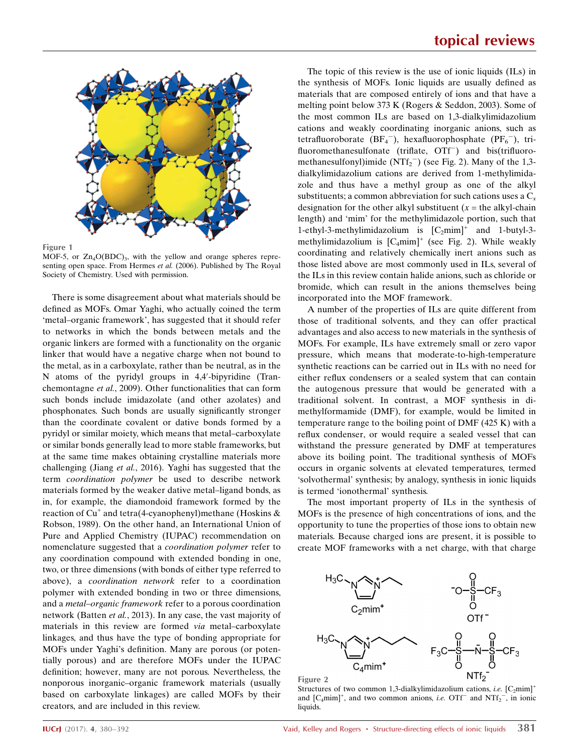

Figure 1

MOF-5, or  $Zn_4O(BDC)_{3}$ , with the yellow and orange spheres representing open space. From Hermes et al. (2006). Published by The Royal Society of Chemistry. Used with permission.

There is some disagreement about what materials should be defined as MOFs. Omar Yaghi, who actually coined the term 'metal–organic framework', has suggested that it should refer to networks in which the bonds between metals and the organic linkers are formed with a functionality on the organic linker that would have a negative charge when not bound to the metal, as in a carboxylate, rather than be neutral, as in the N atoms of the pyridyl groups in 4,4'-bipyridine (Tranchemontagne et al., 2009). Other functionalities that can form such bonds include imidazolate (and other azolates) and phosphonates. Such bonds are usually significantly stronger than the coordinate covalent or dative bonds formed by a pyridyl or similar moiety, which means that metal–carboxylate or similar bonds generally lead to more stable frameworks, but at the same time makes obtaining crystalline materials more challenging (Jiang et al., 2016). Yaghi has suggested that the term coordination polymer be used to describe network materials formed by the weaker dative metal–ligand bonds, as in, for example, the diamondoid framework formed by the reaction of Cu<sup>+</sup> and tetra(4-cyanophenyl)methane (Hoskins  $\&$ Robson, 1989). On the other hand, an International Union of Pure and Applied Chemistry (IUPAC) recommendation on nomenclature suggested that a coordination polymer refer to any coordination compound with extended bonding in one, two, or three dimensions (with bonds of either type referred to above), a coordination network refer to a coordination polymer with extended bonding in two or three dimensions, and a metal–organic framework refer to a porous coordination network (Batten et al., 2013). In any case, the vast majority of materials in this review are formed via metal–carboxylate linkages, and thus have the type of bonding appropriate for MOFs under Yaghi's definition. Many are porous (or potentially porous) and are therefore MOFs under the IUPAC definition; however, many are not porous. Nevertheless, the nonporous inorganic–organic framework materials (usually based on carboxylate linkages) are called MOFs by their creators, and are included in this review.

The topic of this review is the use of ionic liquids (ILs) in the synthesis of MOFs. Ionic liquids are usually defined as materials that are composed entirely of ions and that have a melting point below 373 K (Rogers & Seddon, 2003). Some of the most common ILs are based on 1,3-dialkylimidazolium cations and weakly coordinating inorganic anions, such as tetrafluoroborate  $(BF_4^-)$ , hexafluorophosphate  $(PF_6^-)$ , trifluoromethanesulfonate (triflate, OTf<sup>-</sup>) and bis(trifluoromethanesulfonyl)imide  $(NTf_2^-)$  (see Fig. 2). Many of the 1,3dialkylimidazolium cations are derived from 1-methylimidazole and thus have a methyl group as one of the alkyl substituents; a common abbreviation for such cations uses a  $C_x$ designation for the other alkyl substituent  $(x =$  the alkyl-chain length) and 'mim' for the methylimidazole portion, such that 1-ethyl-3-methylimidazolium is  $[C_2mim]^+$  and 1-butyl-3methylimidazolium is  $[C_4mim]^+$  (see Fig. 2). While weakly coordinating and relatively chemically inert anions such as those listed above are most commonly used in ILs, several of the ILs in this review contain halide anions, such as chloride or bromide, which can result in the anions themselves being incorporated into the MOF framework.

A number of the properties of ILs are quite different from those of traditional solvents, and they can offer practical advantages and also access to new materials in the synthesis of MOFs. For example, ILs have extremely small or zero vapor pressure, which means that moderate-to-high-temperature synthetic reactions can be carried out in ILs with no need for either reflux condensers or a sealed system that can contain the autogenous pressure that would be generated with a traditional solvent. In contrast, a MOF synthesis in dimethylformamide (DMF), for example, would be limited in temperature range to the boiling point of DMF (425 K) with a reflux condenser, or would require a sealed vessel that can withstand the pressure generated by DMF at temperatures above its boiling point. The traditional synthesis of MOFs occurs in organic solvents at elevated temperatures, termed 'solvothermal' synthesis; by analogy, synthesis in ionic liquids is termed 'ionothermal' synthesis.

The most important property of ILs in the synthesis of MOFs is the presence of high concentrations of ions, and the opportunity to tune the properties of those ions to obtain new materials. Because charged ions are present, it is possible to create MOF frameworks with a net charge, with that charge



Structures of two common 1,3-dialkylimidazolium cations, *i.e.*  $[C_2min]^+$ and  $[C_4mim]^+$ , and two common anions, *i.e.* OTf<sup>-</sup> and NTf<sub>2</sub><sup>-</sup>, in ionic liquids.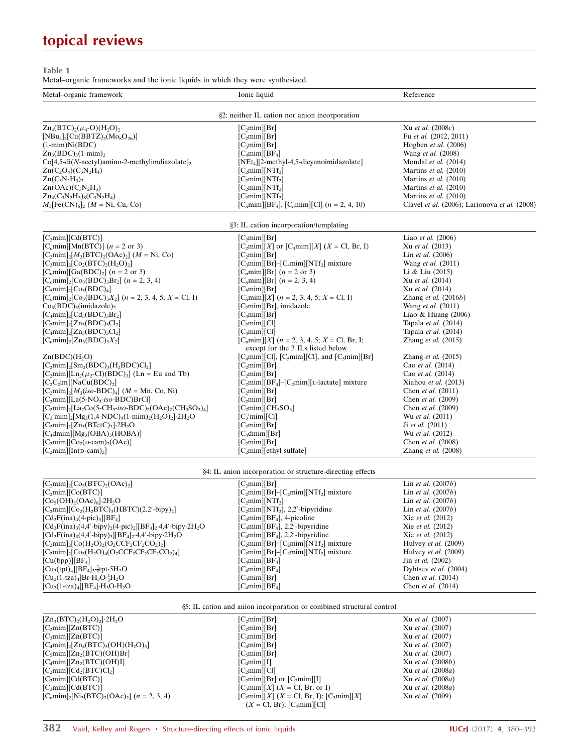# topical reviews

Table 1

Metal–organic frameworks and the ionic liquids in which they were synthesized.

| Metal-organic framework                                                                                                            | Ionic liquid                                                                          | Reference                                     |
|------------------------------------------------------------------------------------------------------------------------------------|---------------------------------------------------------------------------------------|-----------------------------------------------|
|                                                                                                                                    |                                                                                       |                                               |
|                                                                                                                                    | §2: neither IL cation nor anion incorporation                                         |                                               |
| $Zn_4(BTC)_2(\mu_4-O)(H_2O)_2$                                                                                                     | $[C_2min][Br]$                                                                        | Xu et al. (2008c)                             |
| $[NBu_4]_2[Cu(BBTZ)_2(Mo_8O_{26})]$                                                                                                | [C, min][Br]                                                                          | Fu et al. (2012, 2011)                        |
| $(1-min)Ni(BDC)$                                                                                                                   | [C <sub>3</sub> min][Br]                                                              | Hogben et al. (2006)                          |
| $Zn_3(BDC)_{3}(1-min)_{2}$                                                                                                         | $[C_4 \text{mim}][BF_4]$                                                              | Wang et al. (2008)                            |
| $Co[4,5-di(N-acetyl)amino-2-methylimdiazolate]$                                                                                    | $[NEt_4][2-methyl-4,5-dicyanoimidazolate]$                                            | Mondal et al. (2014)                          |
| $Zn(C_2O_4)(C_3N_2H_4)$                                                                                                            | $[C_2min][NTf_2]$                                                                     | Martins et al. (2010)                         |
| $Zn(C_3N_2H_3)$                                                                                                                    | [C, min][NTf <sub>2</sub> ]                                                           | Martins et al. (2010)                         |
| $Zn(OAc)(C_3N_2H_3)$                                                                                                               | $[C_2min][NTf_2]$                                                                     | Martins et al. (2010)                         |
| $Zn_4(C_3N_2H_3)_8(C_3N_2H_4)$                                                                                                     | $[C_2min][NTf_2]$                                                                     | Martins et al. (2010)                         |
| $M_3[Fe(CN)_6]_2$ ( <i>M</i> = Ni, Cu, Co)                                                                                         | [C <sub>n</sub> mim][BF <sub>4</sub> ], [C <sub>n</sub> mim][Cl] (n = 2, 4, 10)       | Clavel et al. (2006); Larionova et al. (2008) |
|                                                                                                                                    |                                                                                       |                                               |
|                                                                                                                                    | §3: IL cation incorporation/templating                                                |                                               |
| $[C_2min][Cd(BTC)]$                                                                                                                | [C <sub>2</sub> min][Br]                                                              | Liao et al. (2006)                            |
| [C <sub>n</sub> mim][Mn(BTC)] $(n = 2 \text{ or } 3)$                                                                              | $[C_2 \text{min}][X]$ or $[C_3 \text{min}][X]$ $(X = \text{Cl}, \text{Br}, \text{I})$ | Xu et al. (2013)                              |
| $[C_2min]_2[M_3(BTC)_2(OAc)_2]$ ( <i>M</i> = Ni, Co)                                                                               | $[C_2min][Br]$                                                                        | Lin et al. (2006)                             |
| $[C3min]$ <sub>2</sub> $[C0$ <sub>2</sub> $(BTC)$ <sub>2</sub> $(H2O)$ <sub>2</sub> $]$                                            | $[C_3min][Br]$ - $[C_4min][NTf_2]$ mixture                                            | Wang et al. (2011)                            |
| $[C_nmin][Ga(BDC)2]$ ( <i>n</i> = 2 or 3)                                                                                          | [C <sub>n</sub> mim][Br] $(n = 2 \text{ or } 3)$                                      | Li & Liu (2015)                               |
| $[C_nmin]_2[Co_3(BDC),Br_2](n = 2, 3, 4)$                                                                                          | $[C_{n}min][Br]$ $(n = 2, 3, 4)$                                                      | Xu et al. (2014)                              |
| $[C5min]_2[C03(BDC)4]$                                                                                                             | [C <sub>5</sub> min][Br]                                                              | Xu et al. (2014)                              |
| $[C_nmin]_2[Co_3(BDC)_3X_2]$ $(n = 2, 3, 4, 5; X = Cl, I)$                                                                         | $[C_nmin][X]$ ( <i>n</i> = 2, 3, 4, 5; <i>X</i> = Cl, I)                              | Zhang et al. $(2016b)$                        |
| $Co3(BDC)3(imidazole)2$                                                                                                            | $[C2min][Br]$ , imidazole                                                             | Wang et al. (2011)                            |
| $[C_4mim]_2[Cd_3(BDC),Br_2]$                                                                                                       | $[C_4mim][Br]$                                                                        | Liao & Huang $(2006)$                         |
| $[C_2min]_2[Zn_3(BDC)_3Cl_2]$                                                                                                      | [C <sub>2</sub> min][Cl]                                                              | Tapala et al. (2014)                          |
| $[C_4min]_2[Zn_3(BDC)_3Cl_2]$                                                                                                      | $[C_4min][Cl]$                                                                        | Tapala et al. (2014)                          |
| $[C_nmin]_2[Zn_3(BDC)_3X_2]$                                                                                                       | $[Cnmin][X]$ ( <i>n</i> = 2, 3, 4, 5; <i>X</i> = Cl, Br, I;                           | Zhang et al. $(2015)$                         |
|                                                                                                                                    | except for the 3 ILs listed below                                                     |                                               |
| Zn(BDC)(H <sub>2</sub> O)                                                                                                          | $[C_4mim][Cl]$ , $[C_5mim][Cl]$ , and $[C_5mim][Br]$                                  | Zhang et al. (2015)                           |
| $[C_2min]$ <sub>2</sub> $[Sm_2(BDC)_3(H_2BDC)Cl_2]$                                                                                | [C <sub>2</sub> min][Br]                                                              | Cao et al. (2014)                             |
| $[C_2 \text{min}][\text{Ln}_2(\mu_2\text{-Cl})(\text{BDC})_3]$ (Ln = Eu and Tb)                                                    | [C, min][Br]                                                                          | Cao et al. (2014)                             |
| $[C, C, im]$ [NaCu(BDC) <sub>2</sub> ]                                                                                             | [C <sub>2</sub> mim][BF <sub>4</sub> ]-[C <sub>2</sub> mim][L-lactate] mixture        | Xiahou et al. (2013)                          |
| $[C_2min]_2[M_3(iso-BDC)_4]$ ( <i>M</i> = Mn, Co, Ni)                                                                              | $[C_2min][Br]$                                                                        | Chen et al. (2011)                            |
| [C <sub>2</sub> mim][La(5-NO <sub>2</sub> -iso-BDC)BrCl]                                                                           | [C <sub>2</sub> min][Br]                                                              | Chen et al. (2009)                            |
| $[C_2min]_2[La_2Co(5-CH_3-iso-BDC)_2(OAc)_2(CH_3SO_3)_4]$                                                                          | $[C_2min][CH_3SO_3]$                                                                  | Chen et al. (2009)                            |
| $[C_3'$ mim $]_2$ [Mg <sub>3</sub> (1,4-NDC) <sub>4</sub> (1-mim) <sub>2</sub> (H <sub>2</sub> O) <sub>2</sub> ]·2H <sub>2</sub> O | [C <sub>3</sub> 'min][Cl]                                                             | Wu et al. (2011)                              |
| $[C_2min]_2[Zn_3(BTetC)_2]$ -2H <sub>2</sub> O                                                                                     | [C <sub>2</sub> min][Br]                                                              | Ji et al. (2011)                              |
| $[C_4dmim][Mg_3(OBA)_3(HOBA)]$                                                                                                     | $[C_4dmim][Br]$                                                                       | Wu et al. (2012)                              |
| $[C_2min][Co_2(D-cam)_2(OAc)]$                                                                                                     | [C <sub>2</sub> min][Br]                                                              | Chen et al. (2008)                            |
| $[C_2min][In(D-cam)_2]$                                                                                                            | [C <sub>2</sub> mim][ethyl sulfate]                                                   | Zhang et al. $(2008)$                         |

|  | §4: IL anion incorporation or structure-directing effects |  |
|--|-----------------------------------------------------------|--|
|  |                                                           |  |

|                                                                          | $\mathbf{y}$ . The among metapolitation of structure antecting effects |                                   |
|--------------------------------------------------------------------------|------------------------------------------------------------------------|-----------------------------------|
| $[C2min]$ <sub>2</sub> $[C03(BTC)$ <sub>2</sub> $(OAc)$ <sub>2</sub> $]$ | [C <sub>min</sub> ][Br]                                                | Lin et al. $(2007b)$              |
| [C <sub>2</sub> min][Co(BTC)]                                            | $[C2min][Br]$ - $[C2min][NTf2] mixture$                                | Lin et al. $(2007b)$              |
| $[Co5(OH)2(OAc)8]2H2O$                                                   | [C, min][NTf <sub>2</sub> ]                                            | Lin et al. $(2007b)$              |
| $[C_2min][C_2(H_2BTC)_3(HBTC)(2,2'-bipy)_2]$                             | $[C_2min][NTf_2], 2,2'$ -bipyridine                                    | Lin et al. $(2007b)$              |
| $[Cd3F(ina)4(4-pic)3][BF4]$                                              | $[C_4min][BF_4]$ , 4-picoline                                          | Xie et al. (2012)                 |
| $[Cd3F(ina)3(4,4'-bipy)2(4-pic)2][BF4]2 4,4'-bipy 2H2O$                  | $[C_4min][BF_4]$ , 2,2'-bipyridine                                     | Xie et al. (2012)                 |
| $[Cd3F(ina)3(4,4'-bipy)3][BF4]2·4,4'-bipy·2H2O$                          | $[C_4min][BF_4]$ , 2,2'-bipyridine                                     | Xie et al. (2012)                 |
| $[C_2min]_2[Co(H_2O)_2(O_2CCF_2CF_2CO_2)_2]$                             | $[C_2min][Br]$ - $[C_2min][NTf_2]$ mixture                             | Hulvey <i>et al.</i> (2009)       |
| $[C_2min]_2[C_0( H_2O)_4(O_2CCF_2CF_2CF_2CO_2)_4]$                       | $[C_2min][Br]$ - $[C_2min][NTf_2]$ mixture                             | Hulvey et al. (2009)              |
| [Cu(bpp)][BF <sub>4</sub> ]                                              | $[C_4 \text{mim}][BF_4]$                                               | $\text{Jin}$ <i>et al.</i> (2002) |
| $[Cu3(tpt)4][BF4]3·2/3 tpt·5H2O$                                         | $[C_4 \text{mim}][BF_4]$                                               | Dybtsev <i>et al.</i> $(2004)$    |
| $[Cu_{2}(1-tza)_{4}]Br\ H_{3}O\ \frac{1}{2}H_{2}O$                       | $[C_4 \text{mim}][\text{Br}]$                                          | Chen et al. (2014)                |
| $[Cu2(1-tza)4][BF4] \cdot H3O \cdot H2O$                                 | $[C_4 \text{mim}][BF_4]$                                               | Chen et al. (2014)                |

|  |  |  |  |  |  |  | §5: IL cation and anion incorporation or combined structural control |  |  |
|--|--|--|--|--|--|--|----------------------------------------------------------------------|--|--|
|--|--|--|--|--|--|--|----------------------------------------------------------------------|--|--|

| $[Zn_3(BTC)_2(H_2O)_2]$ -2H <sub>2</sub> O                 | [C <sub>2</sub> min][Br]                                     | Xu et al. (2007)  |
|------------------------------------------------------------|--------------------------------------------------------------|-------------------|
| $[C_2min][Zn(BTC)]$                                        | [C <sub>2</sub> min][Br]                                     | Xu et al. (2007)  |
| [C <sub>3</sub> min][Zn(BTC)]                              | [C <sub>3</sub> min][Br]                                     | Xu et al. (2007)  |
| $[C_4min]_2[Zn_4(BTC)_3(OH)(H_2O)_3]$                      | $[C_4mim][Br]$                                               | Xu et al. (2007)  |
| $[C_5min][Zn_2(BTC)(OH)Br]$                                | [C <sub>5</sub> min][Br]                                     | Xu et al. (2007)  |
| $[C_4mim][Zn_2(BTC)(OH)]$                                  | $[C_4$ mim][I]                                               | Xu et al. (2008b) |
| $[C_2min][Cd_2(BTC)Cl_2]$                                  | [C <sub>2</sub> min][Cl]                                     | Xu et al. (2008a) |
| [C <sub>2</sub> min][Cd(BTC)]                              | $[C2min][Br]$ or $[C2min][I]$                                | Xu et al. (2008a) |
| [C <sub>3</sub> min][Cd(BTC)]                              | $[C3min][X]$ (X = Cl, Br, or I)                              | Xu et al. (2008a) |
| $[C_{n}min]_{2}[Ni_{3}(BTC)_{2}(OAc)_{2}]$ $(n = 2, 3, 4)$ | $[C_2 \text{min}][X]$ (X = Cl, Br, I); $[C_3 \text{min}][X]$ | Xu et al. (2009)  |
|                                                            | $(X = \text{Cl}, \text{Br})$ ; $\text{[C4min][Cl]}$          |                   |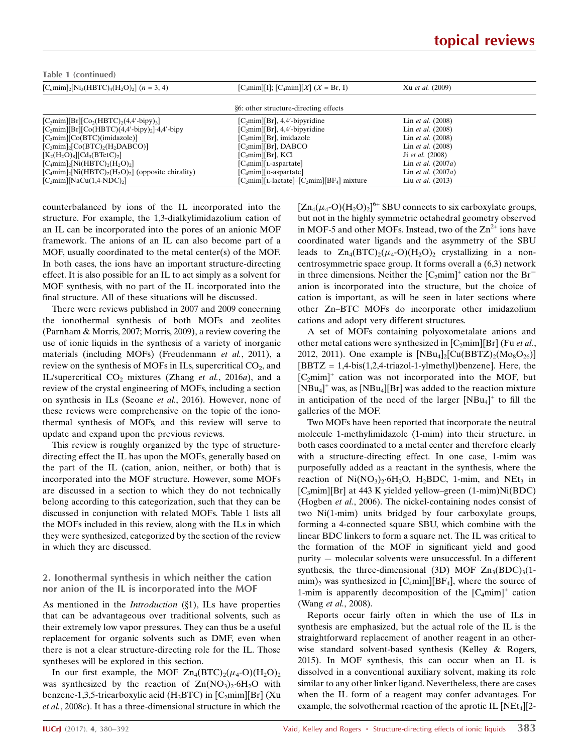| Table 1 (continued)                                                              |                                                  |                      |
|----------------------------------------------------------------------------------|--------------------------------------------------|----------------------|
| $[C_nmin]_2[Ni_3(HBTC)_4(H_2O)_2]$ (n = 3, 4)                                    | $[C_3min][I]; [C_4min][X]$ $(X = Br, I)$         | Xu et al. (2009)     |
|                                                                                  | §6: other structure-directing effects            |                      |
| $[C_2min][Br][Co_2(HBTC)_2(4,4'-bipy)_3]$                                        | $[C_2min][Br]$ , 4,4'-bipyridine                 | Lin et al. (2008)    |
| $[C_2min][Br][Co(HBTC)(4,4'-bipy)_2] \cdot 4,4'-bipy$                            | $[C_2min][Br]$ , 4,4'-bipyridine                 | Lin et al. (2008)    |
| $[C2min][Co(BTC)(imidazole)]$                                                    | $[C2min][Br]$ , imidazole                        | Lin et al. (2008)    |
| $[C2min]$ <sub>2</sub> $[Co(BTC)$ <sub>2</sub> $(H2DABCO)]$                      | $[C2min][Br]$ , DABCO                            | Lin et al. (2008)    |
| $[K2(H2O)8][Cd3(BTetC)2]$                                                        | $[C2min][Br]$ , KCl                              | Ji et al. (2008)     |
| $[C_4min]$ <sub>2</sub> [Ni(HBTC) <sub>2</sub> (H <sub>2</sub> O) <sub>2</sub> ] | $[C_4$ mim][L-aspartate]                         | Lin et al. $(2007a)$ |
| $[C_4mim]_2[Ni(HBTC)_2(H_2O)_2]$ (opposite chirality)                            | $[C_4$ mim][D-aspartate]                         | Lin et al. $(2007a)$ |
| $[C_2min][NaCu(1,4-NDC)_2]$                                                      | $[C_2min][L$ -lactate]– $[C_2min][BF_4]$ mixture | Liu et al. (2013)    |

counterbalanced by ions of the IL incorporated into the structure. For example, the 1,3-dialkylimidazolium cation of an IL can be incorporated into the pores of an anionic MOF framework. The anions of an IL can also become part of a MOF, usually coordinated to the metal center(s) of the MOF. In both cases, the ions have an important structure-directing effect. It is also possible for an IL to act simply as a solvent for MOF synthesis, with no part of the IL incorporated into the final structure. All of these situations will be discussed.

There were reviews published in 2007 and 2009 concerning the ionothermal synthesis of both MOFs and zeolites (Parnham & Morris, 2007; Morris, 2009), a review covering the use of ionic liquids in the synthesis of a variety of inorganic materials (including MOFs) (Freudenmann et al., 2011), a review on the synthesis of MOFs in ILs, supercritical  $CO<sub>2</sub>$ , and IL/supercritical  $CO<sub>2</sub>$  mixtures (Zhang et al., 2016a), and a review of the crystal engineering of MOFs, including a section on synthesis in ILs (Seoane et al., 2016). However, none of these reviews were comprehensive on the topic of the ionothermal synthesis of MOFs, and this review will serve to update and expand upon the previous reviews.

This review is roughly organized by the type of structuredirecting effect the IL has upon the MOFs, generally based on the part of the IL (cation, anion, neither, or both) that is incorporated into the MOF structure. However, some MOFs are discussed in a section to which they do not technically belong according to this categorization, such that they can be discussed in conjunction with related MOFs. Table 1 lists all the MOFs included in this review, along with the ILs in which they were synthesized, categorized by the section of the review in which they are discussed.

## 2. Ionothermal synthesis in which neither the cation nor anion of the IL is incorporated into the MOF

As mentioned in the *Introduction*  $(\S1)$ , ILs have properties that can be advantageous over traditional solvents, such as their extremely low vapor pressures. They can thus be a useful replacement for organic solvents such as DMF, even when there is not a clear structure-directing role for the IL. Those syntheses will be explored in this section.

In our first example, the MOF  $Zn_4(BTC)_2(\mu_4\text{-}O)(H_2O)_2$ was synthesized by the reaction of  $Zn(NO<sub>3</sub>)<sub>2</sub>·6H<sub>2</sub>O$  with benzene-1,3,5-tricarboxylic acid (H<sub>3</sub>BTC) in [C<sub>2</sub>mim][Br] (Xu et al., 2008c). It has a three-dimensional structure in which the

 $[Zn_4(\mu_4\text{-}O)(H_2O)_2]^{6+}$  SBU connects to six carboxylate groups, but not in the highly symmetric octahedral geometry observed in MOF-5 and other MOFs. Instead, two of the  $\text{Zn}^{2+}$  ions have coordinated water ligands and the asymmetry of the SBU leads to  $Zn_4(BTC)_2(\mu_4\text{-}O)(H_2O)_2$  crystallizing in a noncentrosymmetric space group. It forms overall a (6,3) network in three dimensions. Neither the  $[C_2mim]^+$  cation nor the  $Br^$ anion is incorporated into the structure, but the choice of cation is important, as will be seen in later sections where other Zn–BTC MOFs do incorporate other imidazolium cations and adopt very different structures.

A set of MOFs containing polyoxometalate anions and other metal cations were synthesized in  $[C_2 \text{min}][Br]$  (Fu *et al.*, 2012, 2011). One example is  $[NBu_4]_2$ [Cu(BBTZ)<sub>2</sub>(Mo<sub>8</sub>O<sub>26</sub>)]  $[BBTZ = 1,4-bis(1,2,4-triazol-1-ylmethyl)benzene]$ . Here, the  $[C_2mim]^+$  cation was not incorporated into the MOF, but  $[NBu_4]^+$  was, as  $[NBu_4][Br]$  was added to the reaction mixture in anticipation of the need of the larger  $[NBu_4]^+$  to fill the galleries of the MOF.

Two MOFs have been reported that incorporate the neutral molecule 1-methylimidazole (1-mim) into their structure, in both cases coordinated to a metal center and therefore clearly with a structure-directing effect. In one case, 1-mim was purposefully added as a reactant in the synthesis, where the reaction of  $Ni(NO<sub>3</sub>)<sub>2</sub>·6H<sub>2</sub>O$ ,  $H<sub>2</sub>BDC$ , 1-mim, and  $NEt<sub>3</sub>$  in [C3mim][Br] at 443 K yielded yellow–green (1-mim)Ni(BDC) (Hogben et al., 2006). The nickel-containing nodes consist of two Ni(1-mim) units bridged by four carboxylate groups, forming a 4-connected square SBU, which combine with the linear BDC linkers to form a square net. The IL was critical to the formation of the MOF in significant yield and good purity — molecular solvents were unsuccessful. In a different synthesis, the three-dimensional (3D) MOF  $Zn_3(BDC)_3(1 \min$ )<sub>2</sub> was synthesized in [C<sub>4</sub>mim][BF<sub>4</sub>], where the source of 1-mim is apparently decomposition of the  $[C_4 \text{min}]^+$  cation (Wang et al., 2008).

Reports occur fairly often in which the use of ILs in synthesis are emphasized, but the actual role of the IL is the straightforward replacement of another reagent in an otherwise standard solvent-based synthesis (Kelley & Rogers, 2015). In MOF synthesis, this can occur when an IL is dissolved in a conventional auxiliary solvent, making its role similar to any other linker ligand. Nevertheless, there are cases when the IL form of a reagent may confer advantages. For example, the solvothermal reaction of the aprotic IL  $[NEt_4][2-$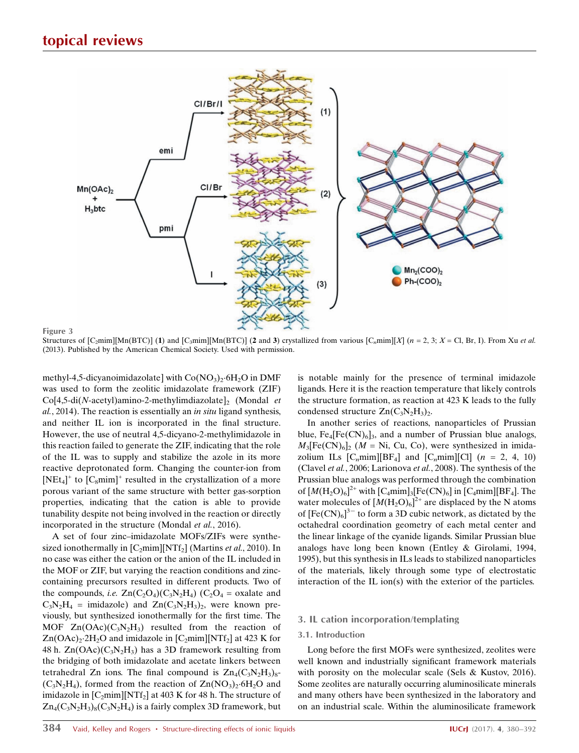

Figure 3

Structures of  $[C_2 \text{min}][\text{Mn}(BTC)]$  (1) and  $[C_3 \text{min}][\text{Mn}(BTC)]$  (2 and 3) crystallized from various  $[C_2 \text{min}][X]$  (n = 2, 3; X = Cl, Br, I). From Xu et al. (2013). Published by the American Chemical Society. Used with permission.

methyl-4,5-dicyanoimidazolate] with  $Co(NO<sub>3</sub>)<sub>2</sub>·6H<sub>2</sub>O$  in DMF was used to form the zeolitic imidazolate framework (ZIF)  $Co[4,5\text{-di}(N\text{-acetyl})$ amino-2-methylimdiazolate $]_2$  (Mondal *et*  $al$ , 2014). The reaction is essentially an *in situ* ligand synthesis, and neither IL ion is incorporated in the final structure. However, the use of neutral 4,5-dicyano-2-methylimidazole in this reaction failed to generate the ZIF, indicating that the role of the IL was to supply and stabilize the azole in its more reactive deprotonated form. Changing the counter-ion from  $[NEt_4]^+$  to  $[C_8min]^+$  resulted in the crystallization of a more porous variant of the same structure with better gas-sorption properties, indicating that the cation is able to provide tunability despite not being involved in the reaction or directly incorporated in the structure (Mondal et al., 2016).

A set of four zinc–imidazolate MOFs/ZIFs were synthesized ionothermally in  $[C_2mim][NTf_2]$  (Martins *et al.*, 2010). In no case was either the cation or the anion of the IL included in the MOF or ZIF, but varying the reaction conditions and zinccontaining precursors resulted in different products. Two of the compounds, i.e.  $\text{Zn}(C_2O_4)(C_3N_2H_4)$  (C<sub>2</sub>O<sub>4</sub> = oxalate and  $C_3N_2H_4$  = imidazole) and  $Zn(C_3N_2H_3)_2$ , were known previously, but synthesized ionothermally for the first time. The MOF  $Zn(OAc)(C_3N_2H_3)$  resulted from the reaction of  $Zn(OAc)<sub>2</sub>·2H<sub>2</sub>O$  and imidazole in  $[C<sub>2</sub>min][NTf<sub>2</sub>]$  at 423 K for 48 h.  $Zn(OAc)(C_3N_2H_3)$  has a 3D framework resulting from the bridging of both imidazolate and acetate linkers between tetrahedral Zn ions. The final compound is  $Zn_4(C_3N_2H_3)_{8}$ - $(C_3N_2H_4)$ , formed from the reaction of  $Zn(NO_3)_2.6H_2O$  and imidazole in  $[C_2mim][NTf_2]$  at 403 K for 48 h. The structure of  $Zn_4(C_3N_2H_3)_8(C_3N_2H_4)$  is a fairly complex 3D framework, but

is notable mainly for the presence of terminal imidazole ligands. Here it is the reaction temperature that likely controls the structure formation, as reaction at 423 K leads to the fully condensed structure  $Zn(C_3N_2H_3)_2$ .

In another series of reactions, nanoparticles of Prussian blue,  $Fe_4[Fe(CN)_6]_3$ , and a number of Prussian blue analogs,  $M_3[Fe(CN)_6]_2$  (*M* = Ni, Cu, Co), were synthesized in imidazolium ILs  $[C_n \text{min}][BF_4]$  and  $[C_n \text{min}][C]$  ( $n = 2, 4, 10$ ) (Clavel et al., 2006; Larionova et al., 2008). The synthesis of the Prussian blue analogs was performed through the combination of  $[M(H_2O)_6]^{2+}$  with  $[C_4mim]_3[Fe(CN)_6]$  in  $[C_4mim][BF_4]$ . The water molecules of  $[M(H_2O)_6]^{2+}$  are displaced by the N atoms of  $[Fe(CN)_6]^3$ <sup>-</sup> to form a 3D cubic network, as dictated by the octahedral coordination geometry of each metal center and the linear linkage of the cyanide ligands. Similar Prussian blue analogs have long been known (Entley & Girolami, 1994, 1995), but this synthesis in ILs leads to stabilized nanoparticles of the materials, likely through some type of electrostatic interaction of the IL ion(s) with the exterior of the particles.

#### 3. IL cation incorporation/templating

### 3.1. Introduction

Long before the first MOFs were synthesized, zeolites were well known and industrially significant framework materials with porosity on the molecular scale (Sels & Kustov, 2016). Some zeolites are naturally occurring aluminosilicate minerals and many others have been synthesized in the laboratory and on an industrial scale. Within the aluminosilicate framework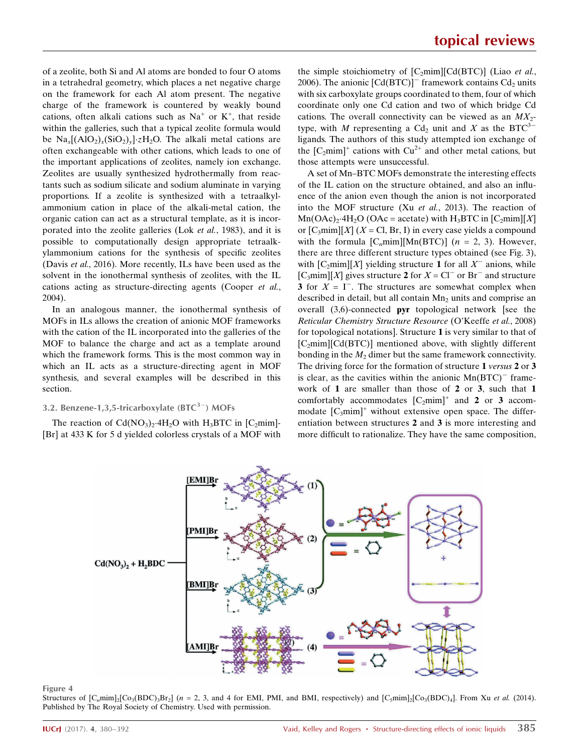of a zeolite, both Si and Al atoms are bonded to four O atoms in a tetrahedral geometry, which places a net negative charge on the framework for each Al atom present. The negative charge of the framework is countered by weakly bound cations, often alkali cations such as  $Na<sup>+</sup>$  or  $K<sup>+</sup>$ , that reside within the galleries, such that a typical zeolite formula would be  $\text{Na}_x[(\text{AlO}_2)_x(\text{SiO}_2)_y]\text{:}z\text{H}_2\text{O}$ . The alkali metal cations are often exchangeable with other cations, which leads to one of the important applications of zeolites, namely ion exchange. Zeolites are usually synthesized hydrothermally from reactants such as sodium silicate and sodium aluminate in varying proportions. If a zeolite is synthesized with a tetraalkylammonium cation in place of the alkali-metal cation, the organic cation can act as a structural template, as it is incorporated into the zeolite galleries (Lok et al., 1983), and it is possible to computationally design appropriate tetraalkylammonium cations for the synthesis of specific zeolites (Davis et al., 2016). More recently, ILs have been used as the solvent in the ionothermal synthesis of zeolites, with the IL cations acting as structure-directing agents (Cooper et al., 2004).

In an analogous manner, the ionothermal synthesis of MOFs in ILs allows the creation of anionic MOF frameworks with the cation of the IL incorporated into the galleries of the MOF to balance the charge and act as a template around which the framework forms. This is the most common way in which an IL acts as a structure-directing agent in MOF synthesis, and several examples will be described in this section.

## 3.2. Benzene-1,3,5-tricarboxylate  $(BTC^{3-})$  MOFs

The reaction of  $Cd(NO<sub>3</sub>)<sub>2</sub>·4H<sub>2</sub>O$  with H<sub>3</sub>BTC in [C<sub>2</sub>mim]-[Br] at 433 K for 5 d yielded colorless crystals of a MOF with

the simple stoichiometry of  $[C_2mim][Cd(BTC)]$  (Liao *et al.*, 2006). The anionic  $[Cd(BTC)]$ <sup>-</sup> framework contains  $Cd_2$  units with six carboxylate groups coordinated to them, four of which coordinate only one Cd cation and two of which bridge Cd cations. The overall connectivity can be viewed as an  $MX_2$ type, with M representing a Cd<sub>2</sub> unit and X as the BTC<sup>3-</sup> ligands. The authors of this study attempted ion exchange of the  $[C_2mim]^+$  cations with  $Cu^{2+}$  and other metal cations, but those attempts were unsuccessful.

A set of Mn–BTC MOFs demonstrate the interesting effects of the IL cation on the structure obtained, and also an influence of the anion even though the anion is not incorporated into the MOF structure (Xu et al., 2013). The reaction of  $\text{Mn(OAc)}_2$ -4H<sub>2</sub>O (OAc = acetate) with H<sub>3</sub>BTC in [C<sub>2</sub>mim][X] or  $[C_3$ mim][X] (X = Cl, Br, I) in every case yields a compound with the formula  $[C_n m i m][Mn(BTC)]$  (*n* = 2, 3). However, there are three different structure types obtained (see Fig. 3), with  $[C_2 \text{min}][X]$  yielding structure 1 for all  $X^-$  anions, while [C<sub>3</sub>mim][X] gives structure **2** for  $X = \text{Cl}^-$  or Br<sup>-</sup> and structure 3 for  $X = I^-$ . The structures are somewhat complex when described in detail, but all contain  $Mn<sub>2</sub>$  units and comprise an overall (3,6)-connected pyr topological network [see the Reticular Chemistry Structure Resource (O'Keeffe et al., 2008) for topological notations]. Structure 1 is very similar to that of [C<sub>2</sub>mim][Cd(BTC)] mentioned above, with slightly different bonding in the  $M_2$  dimer but the same framework connectivity. The driving force for the formation of structure 1 versus 2 or 3 is clear, as the cavities within the anionic  $Mn(BTC)^-$  framework of 1 are smaller than those of 2 or 3, such that 1 comfortably accommodates  $[C_2mim]^+$  and 2 or 3 accommodate  $[C_3$ mim]<sup>+</sup> without extensive open space. The differentiation between structures 2 and 3 is more interesting and more difficult to rationalize. They have the same composition,



#### Figure 4

Structures of  $[C_nmin]_2[C_{03}(BDC)_3Br_2]$  (n = 2, 3, and 4 for EMI, PMI, and BMI, respectively) and  $[C_5min]_2[C_{03}(BDC)_4]$ . From Xu *et al.* (2014). Published by The Royal Society of Chemistry. Used with permission.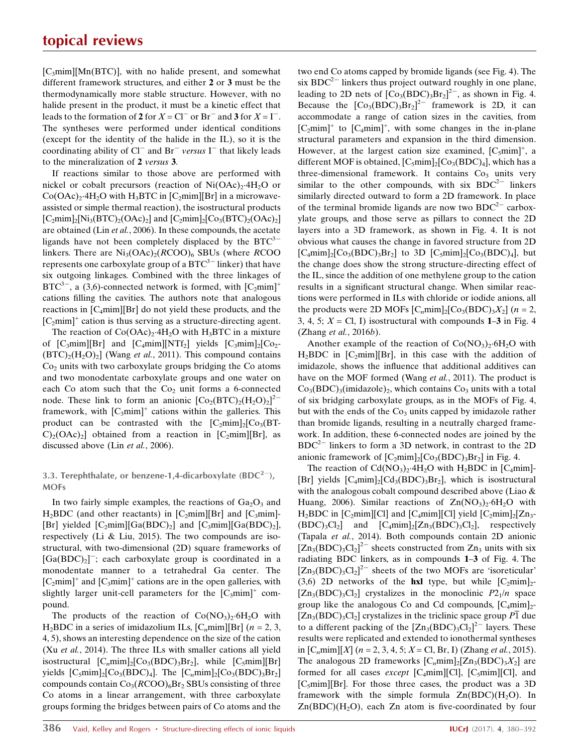$[C<sub>3</sub>min][Mn(BTC)]$ , with no halide present, and somewhat different framework structures, and either 2 or 3 must be the thermodynamically more stable structure. However, with no halide present in the product, it must be a kinetic effect that leads to the formation of 2 for  $X = \text{Cl}^-$  or  $\text{Br}^-$  and 3 for  $X = \text{I}^-$ . The syntheses were performed under identical conditions (except for the identity of the halide in the IL), so it is the coordinating ability of  $Cl^-$  and  $Br^-$  versus  $I^-$  that likely leads to the mineralization of 2 versus 3.

If reactions similar to those above are performed with nickel or cobalt precursors (reaction of  $Ni(OAc)<sub>2</sub>·4H<sub>2</sub>O$  or  $Co(OAc)<sub>2</sub>·4H<sub>2</sub>O$  with H<sub>3</sub>BTC in  $[C<sub>2</sub>min][Br]$  in a microwaveassisted or simple thermal reaction), the isostructural products  $[C_2mim]_2[Ni_3(BTC)_2(OAc)_2]$  and  $[C_2mim]_2[Co_3(BTC)_2(OAc)_2]$ are obtained (Lin et al., 2006). In these compounds, the acetate ligands have not been completely displaced by the  $BTC^{3-}$ linkers. There are  $Ni<sub>3</sub>(OAc)<sub>2</sub>(RCOO)<sub>6</sub>$  SBUs (where RCOO represents one carboxylate group of a  $\operatorname{BTC}^{3-}$  linker) that have six outgoing linkages. Combined with the three linkages of  $BTC^{3-}$ , a (3,6)-connected network is formed, with  $[C_2mim]^+$ cations filling the cavities. The authors note that analogous reactions in  $[C_4$ mim][Br] do not yield these products, and the  $[C_2$ mim]<sup>+</sup> cation is thus serving as a structure-directing agent.

The reaction of  $Co(OAc)_{2}$ -4H<sub>2</sub>O with H<sub>3</sub>BTC in a mixture of  $[C_3$ mim][Br] and  $[C_4$ mim][NTf<sub>2</sub>] yields  $[C_3$ mim]<sub>2</sub>[Co<sub>2</sub>- $(BTC)_{2}(H_{2}O)_{2}$  (Wang *et al.*, 2011). This compound contains  $Co<sub>2</sub>$  units with two carboxylate groups bridging the Co atoms and two monodentate carboxylate groups and one water on each Co atom such that the  $Co<sub>2</sub>$  unit forms a 6-connected node. These link to form an anionic  $[Co_2(BTC)_2(H_2O)_2]^{2-}$ framework, with  $[C_3mim]^+$  cations within the galleries. This product can be contrasted with the  $[C_2mim]_2[C_2(BT C$ <sub>2</sub>(OAc)<sub>2</sub>] obtained from a reaction in [C<sub>2</sub>mim][Br], as discussed above (Lin et al., 2006).

## 3.3. Terephthalate, or benzene-1,4-dicarboxylate  $(BDC^{2-})$ , MOFs

In two fairly simple examples, the reactions of  $Ga<sub>2</sub>O<sub>3</sub>$  and H<sub>2</sub>BDC (and other reactants) in  $[C_2mim][Br]$  and  $[C_3mim]$ -[Br] yielded  $[C_2mim][Ga(BDC)_2]$  and  $[C_3mim][Ga(BDC)_2]$ , respectively (Li & Liu, 2015). The two compounds are isostructural, with two-dimensional (2D) square frameworks of  $[Ga(BDC)<sub>2</sub>]$ ; each carboxylate group is coordinated in a monodentate manner to a tetrahedral Ga center. The  $[C_2mim]^+$  and  $[C_3mim]^+$  cations are in the open galleries, with slightly larger unit-cell parameters for the  $[C_3$ mim]<sup>+</sup> compound.

The products of the reaction of  $Co(NO<sub>3</sub>)<sub>2</sub>·6H<sub>2</sub>O$  with H<sub>2</sub>BDC in a series of imidazolium ILs,  $[C_n m i m][Br]$  (*n* = 2, 3, 4, 5), shows an interesting dependence on the size of the cation (Xu et al., 2014). The three ILs with smaller cations all yield isostructural  $[C_nmin]_2[C_{93}(BDC)_{3}Br_2]$ , while  $[C_5min][Br]$ yields  $[C_5mim]_2[C_03(BDC)_4]$ . The  $[C_nmin]_2[C_03(BDC)_3Br_2]$ compounds contain  $Co_3(RCOO)_6Br_2$  SBUs consisting of three Co atoms in a linear arrangement, with three carboxylate groups forming the bridges between pairs of Co atoms and the two end Co atoms capped by bromide ligands (see Fig. 4). The six  $BDC^{2-}$  linkers thus project outward roughly in one plane, leading to 2D nets of  $[Co_3(BDC)_3Br_2]^2$ , as shown in Fig. 4. Because the  $[Co_3(BDC)_3Br_2]^2$  framework is 2D, it can accommodate a range of cation sizes in the cavities, from  $[C_2mim]^+$  to  $[C_4mim]^+$ , with some changes in the in-plane structural parameters and expansion in the third dimension. However, at the largest cation size examined,  $[C_5mim]^+$ , a different MOF is obtained,  $[C_5mim]_2[C_{03}(BDC)_4]$ , which has a three-dimensional framework. It contains  $Co<sub>3</sub>$  units very similar to the other compounds, with six  $BDC^{2-}$  linkers similarly directed outward to form a 2D framework. In place of the terminal bromide ligands are now two  $BDC^{2-}$  carboxylate groups, and those serve as pillars to connect the 2D layers into a 3D framework, as shown in Fig. 4. It is not obvious what causes the change in favored structure from 2D  $[C_4 \text{min}]_2[C_03(BDC)_3Br_2]$  to 3D  $[C_5 \text{min}]_2[C_03(BDC)_4]$ , but the change does show the strong structure-directing effect of the IL, since the addition of one methylene group to the cation results in a significant structural change. When similar reactions were performed in ILs with chloride or iodide anions, all the products were 2D MOFs  $[C_n \text{min}]_2[C_{03}(BDC)_3X_2]$  (n = 2, 3, 4, 5;  $X = \text{Cl}$ , I) isostructural with compounds 1–3 in Fig. 4 (Zhang et al., 2016b).

Another example of the reaction of  $Co(NO_3)_2.6H_2O$  with H<sub>2</sub>BDC in  $[C_2$ mim][Br], in this case with the addition of imidazole, shows the influence that additional additives can have on the MOF formed (Wang et al., 2011). The product is  $Co<sub>3</sub>(BDC)<sub>3</sub>(imidazole)<sub>2</sub>$ , which contains  $Co<sub>3</sub>$  units with a total of six bridging carboxylate groups, as in the MOFs of Fig. 4, but with the ends of the  $Co<sub>3</sub>$  units capped by imidazole rather than bromide ligands, resulting in a neutrally charged framework. In addition, these 6-connected nodes are joined by the  $BDC^{2-}$  linkers to form a 3D network, in contrast to the 2D anionic framework of  $[C_2mim]_2[C_0(BDC)_3Br_2]$  in Fig. 4.

The reaction of  $Cd(NO<sub>3</sub>)<sub>2</sub>·4H<sub>2</sub>O$  with  $H<sub>2</sub>BDC$  in  $[C<sub>4</sub>min]$ -[Br] yields  $[C_4mim]_2[Cd_3(BDC)_3Br_2]$ , which is isostructural with the analogous cobalt compound described above (Liao & Huang, 2006). Similar reactions of  $Zn(NO<sub>3</sub>)<sub>2</sub>·6H<sub>2</sub>O$  with H<sub>2</sub>BDC in [C<sub>2</sub>mim][Cl] and [C<sub>4</sub>mim][Cl] yield  $[C_2mim]_2[Z_{13-}$  $(BDC)_3C_2$ ] and  $[C_4min]_2[Zn_3(BDC)_3C_2]$ , respectively (Tapala et al., 2014). Both compounds contain 2D anionic  $[Zn_3(BDC)_3Cl_2]^2$  sheets constructed from  $Zn_3$  units with six radiating BDC linkers, as in compounds 1–3 of Fig. 4. The  $[Zn_3(BDC)_3Cl_2]^{2-}$  sheets of the two MOFs are 'isoreticular' (3,6) 2D networks of the hxl type, but while  $[C_2mim]_2$ - $[Zn_3(BDC)_3Cl_2]$  crystalizes in the monoclinic  $P2_1/n$  space group like the analogous Co and Cd compounds,  $[C_4 \text{min}]_2$ - $[Z_{n3}(BDC)_3Cl_2]$  crystalizes in the triclinic space group  $\overline{P1}$  due to a different packing of the  $[Zn_3(BDC)_3Cl_2]^2$ <sup>-</sup> layers. These results were replicated and extended to ionothermal syntheses in  $[C_nmin][X]$  ( $n = 2, 3, 4, 5$ ;  $X = Cl$ , Br, I) (Zhang *et al.*, 2015). The analogous 2D frameworks  $[C_nmin]_2[Zn_3(BDC)_3X_2]$  are formed for all cases *except* [C<sub>4</sub>mim][Cl], [C<sub>5</sub>mim][Cl], and  $[C_5min][Br]$ . For those three cases, the product was a 3D framework with the simple formula  $Zn(BDC)(H<sub>2</sub>O)$ . In  $Zn(BDC)(H<sub>2</sub>O)$ , each  $Zn$  atom is five-coordinated by four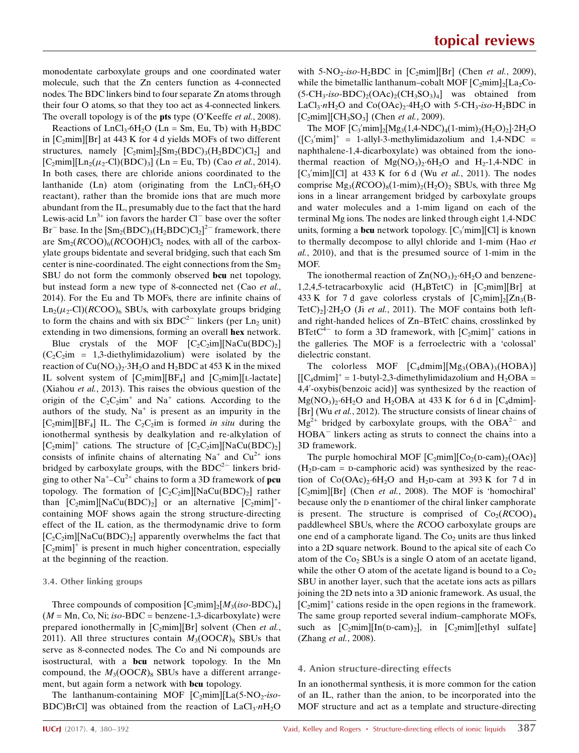monodentate carboxylate groups and one coordinated water molecule, such that the Zn centers function as 4-connected nodes. The BDC linkers bind to four separate Zn atoms through their four O atoms, so that they too act as 4-connected linkers. The overall topology is of the **pts** type (O'Keeffe *et al.*, 2008).

Reactions of  $LnCl<sub>3</sub>·6H<sub>2</sub>O$  (Ln = Sm, Eu, Tb) with  $H<sub>2</sub>BDC$ in  $[C_2 \text{min}][Br]$  at 443 K for 4 d yields MOFs of two different structures, namely  $[C_2mim]_2[\text{Sm}_2(BDC)_3(H_2BDC)C]_2]$  and  $[C_2 \text{min}][\text{Ln}_2(\mu_2\text{-}Cl)(\text{BDC})_3]$  (Ln = Eu, Tb) (Cao *et al.*, 2014). In both cases, there are chloride anions coordinated to the lanthanide (Ln) atom (originating from the LnCl<sub>3</sub>.6H<sub>2</sub>O reactant), rather than the bromide ions that are much more abundant from the IL, presumably due to the fact that the hard Lewis-acid  $Ln^{3+}$  ion favors the harder  $Cl^{-}$  base over the softer Br<sup>-</sup> base. In the  $[\text{Sm}_2(\text{BDC})_3(\text{H}_2\text{BDC})\text{Cl}_2]^{\text{2-}}$  framework, there are  $\text{Sm}_2(RCOO)_6(RCOOH)Cl_2$  nodes, with all of the carboxylate groups bidentate and several bridging, such that each Sm center is nine-coordinated. The eight connections from the  $Sm<sub>2</sub>$ SBU do not form the commonly observed **bcu** net topology, but instead form a new type of 8-connected net (Cao et al., 2014). For the Eu and Tb MOFs, there are infinite chains of  $\text{Ln}_2(\mu_2\text{-Cl})(R\text{COO})_6$  SBUs, with carboxylate groups bridging to form the chains and with six  $BDC^{2-}$  linkers (per Ln<sub>2</sub> unit) extending in two dimensions, forming an overall hex network.

Blue crystals of the MOF  $[C, C_2$ im][NaCu(BDC)<sub>2</sub>]  $(C_2C_2$ im = 1,3-diethylimidazolium) were isolated by the reaction of  $Cu(NO_3)$ .  $3H_2O$  and  $H_2BDC$  at 453 K in the mixed IL solvent system of  $[C_2mim][BF_4]$  and  $[C_2mim][L-lactate]$ (Xiahou et al., 2013). This raises the obvious question of the origin of the  $C_2C_2im^+$  and Na<sup>+</sup> cations. According to the authors of the study,  $Na<sup>+</sup>$  is present as an impurity in the  $[C_2$ mim][BF<sub>4</sub>] IL. The  $C_2C_2$ im is formed *in situ* during the ionothermal synthesis by dealkylation and re-alkylation of  $[C_2mim]^+$  cations. The structure of  $[C_2C_2im][\text{NaCu(BDC)}_2]$ consists of infinite chains of alternating  $Na^+$  and  $Cu^{2+}$  ions bridged by carboxylate groups, with the  $BDC^{2-}$  linkers bridging to other  $Na^{\text{+}}-Cu^{\text{2+}}$  chains to form a 3D framework of **pcu** topology. The formation of  $[C_2C_2im][NaCu(BDC)_2]$  rather than  $[C_2min][NaCu(BDC)_2]$  or an alternative  $[C_2min]^+$ containing MOF shows again the strong structure-directing effect of the IL cation, as the thermodynamic drive to form  $[C_2C_2$ im][NaCu(BDC)<sub>2</sub>] apparently overwhelms the fact that  $[C_2$ mim]<sup>+</sup> is present in much higher concentration, especially at the beginning of the reaction.

#### 3.4. Other linking groups

Three compounds of composition  $[C_2 \text{min}]_2[M_3(iso-BDC)_4]$  $(M = Mn, Co, Ni; iso-BDC = benzene-1,3-dicarboxplate)$  were prepared ionothermally in  $[C_2mim][Br]$  solvent (Chen *et al.*, 2011). All three structures contain  $M_3(OOCR)_8$  SBUs that serve as 8-connected nodes. The Co and Ni compounds are isostructural, with a bcu network topology. In the Mn compound, the  $M_3(OOCR)_8$  SBUs have a different arrangement, but again form a network with **bcu** topology.

The lanthanum-containing MOF  $[C_2mim][La(5-NO_2-iso-$ BDC)BrCl was obtained from the reaction of  $LaCl<sub>3</sub>·nH<sub>2</sub>O$  with 5-NO<sub>2</sub>-iso-H<sub>2</sub>BDC in [C<sub>2</sub>mim][Br] (Chen et al., 2009), while the bimetallic lanthanum–cobalt MOF  $[C_2mim]_2[L_3,C_0 (5\text{-CH}_3\text{-}iso\text{-}BDC)_{2}(OAc)_{2}(CH_3SO_3)_{4}$  was obtained from LaCl<sub>3</sub> $nH_2O$  and Co(OAc)<sub>2</sub> $4H_2O$  with 5-CH<sub>3</sub>-iso-H<sub>2</sub>BDC in  $[C_2mim][CH_3SO_3]$  (Chen et al., 2009).

The MOF  $[C_3' \text{min}]_2[\text{Mg}_3(1,4\text{-}NDC)_4(1\text{-}mim)_2(\text{H}_2\text{O})_2]\cdot 2\text{H}_2\text{O}$  $({\rm [C_3' min]}^+ = 1$ -allyl-3-methylimidazolium and 1,4-NDC = naphthalene-1,4-dicarboxylate) was obtained from the ionothermal reaction of  $Mg(NO_3)_2.6H_2O$  and  $H_2-1,4-NDC$  in  $[C_3'$ mim][Cl] at 433 K for 6 d (Wu et al., 2011). The nodes comprise  $Mg_3(RCOO)_8(1-min)_2(H_2O)_2$  SBUs, with three Mg ions in a linear arrangement bridged by carboxylate groups and water molecules and a 1-mim ligand on each of the terminal Mg ions. The nodes are linked through eight 1,4-NDC units, forming a **bcu** network topology. [C<sub>3</sub>'mim][Cl] is known to thermally decompose to allyl chloride and 1-mim (Hao et al., 2010), and that is the presumed source of 1-mim in the MOF.

The ionothermal reaction of  $\text{Zn}(\text{NO}_3)_2$  6H<sub>2</sub>O and benzene-1,2,4,5-tetracarboxylic acid (H<sub>4</sub>BTetC) in  $[C_2min][Br]$  at 433 K for 7 d gave colorless crystals of  $[C_2 \text{min}]_2[Zn_3(B-$ TetC)<sub>2</sub>] $\cdot$ 2H<sub>2</sub>O (Ji et al., 2011). The MOF contains both leftand right-handed helices of Zn–BTetC chains, crosslinked by BTet $C^{4-}$  to form a 3D framework, with  $[C_2$ mim]<sup>+</sup> cations in the galleries. The MOF is a ferroelectric with a 'colossal' dielectric constant.

The colorless MOF  $[C<sub>4</sub>dmim][Mg<sub>3</sub>(OBA)<sub>3</sub>(HOBA)]$  $[ [C_4<sub>dmim</sub>]<sup>+</sup> = 1$ -butyl-2,3-dimethylimidazolium and H<sub>2</sub>OBA = 4,4'-oxybis(benzoic acid)] was synthesized by the reaction of  $Mg(NO<sub>3</sub>)<sub>2</sub>·6H<sub>2</sub>O$  and H<sub>2</sub>OBA at 433 K for 6 d in [C<sub>4</sub>dmim]-[Br] (Wu et al., 2012). The structure consists of linear chains of  $\text{Mg}^{\frac{2}{2}+}$  bridged by carboxylate groups, with the OBA<sup>2-</sup> and HOBA<sup>-</sup> linkers acting as struts to connect the chains into a 3D framework.

The purple homochiral MOF  $[C_2 \text{min}][C_02(\text{d-cam})2(\text{OAc})]$  $(H<sub>2</sub>D-cam = D-camphoric acid)$  was synthesized by the reaction of  $Co(OAc)_2·6H_2O$  and  $H_2D$ -cam at 393 K for 7 d in  $[C_2min][Br]$  (Chen *et al.*, 2008). The MOF is 'homochiral' because only the  $D$  enantiomer of the chiral linker camphorate is present. The structure is comprised of  $Co<sub>2</sub>(RCOO)<sub>4</sub>$ paddlewheel SBUs, where the RCOO carboxylate groups are one end of a camphorate ligand. The  $Co<sub>2</sub>$  units are thus linked into a 2D square network. Bound to the apical site of each Co atom of the  $Co<sub>2</sub>$  SBUs is a single O atom of an acetate ligand, while the other O atom of the acetate ligand is bound to a  $Co<sub>2</sub>$ SBU in another layer, such that the acetate ions acts as pillars joining the 2D nets into a 3D anionic framework. As usual, the  $[C_2<sub>min</sub>]<sup>+</sup>$  cations reside in the open regions in the framework. The same group reported several indium–camphorate MOFs, such as  $[C_2mim][In(D-cam)_2]$ , in  $[C_2mim][ethyl$  sulfate (Zhang et al., 2008).

### 4. Anion structure-directing effects

In an ionothermal synthesis, it is more common for the cation of an IL, rather than the anion, to be incorporated into the MOF structure and act as a template and structure-directing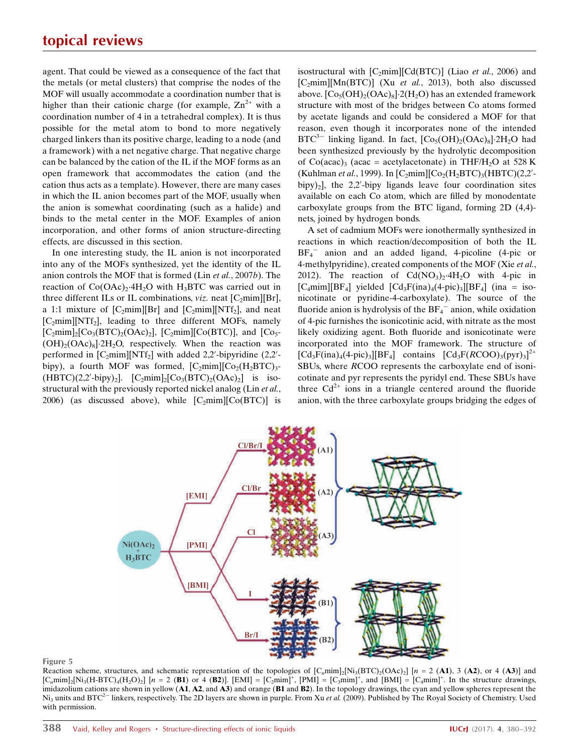agent. That could be viewed as a consequence of the fact that the metals (or metal clusters) that comprise the nodes of the MOF will usually accommodate a coordination number that is higher than their cationic charge (for example,  $Zn^{2+}$  with a coordination number of 4 in a tetrahedral complex). It is thus possible for the metal atom to bond to more negatively charged linkers than its positive charge, leading to a node (and a framework) with a net negative charge. That negative charge can be balanced by the cation of the IL if the MOF forms as an open framework that accommodates the cation (and the cation thus acts as a template). However, there are many cases in which the IL anion becomes part of the MOF, usually when the anion is somewhat coordinating (such as a halide) and binds to the metal center in the MOF. Examples of anion incorporation, and other forms of anion structure-directing effects, are discussed in this section.

In one interesting study, the IL anion is not incorporated into any of the MOFs synthesized, yet the identity of the IL anion controls the MOF that is formed (Lin et al., 2007b). The reaction of  $Co(OAc)<sub>2</sub>·4H<sub>2</sub>O$  with H<sub>3</sub>BTC was carried out in three different ILs or IL combinations,  $viz$  neat  $[C_2mim][Br]$ , a 1:1 mixture of  $[C_2 \text{min}][\text{Br}]$  and  $[C_2 \text{min}][\text{NTf}_2]$ , and neat  $[C_2min][NTf_2]$ , leading to three different MOFs, namely  $[C_2mim]_2[Co_3(BTC)_2(OAc)_2]$ ,  $[C_2mim][Co(BTC)]$ , and  $[C_05 (OH)_{2}(OAc)_{8}$ <sup>2</sup>H<sub>2</sub>O, respectively. When the reaction was performed in  $[C_2min][NTf_2]$  with added 2,2'-bipyridine (2,2'bipy), a fourth MOF was formed,  $[C_2mim][C_2(H_2BTC)_3$ - $(HBTC)(2,2'-bipy)_2$ ].  $[C_2mim]_2[Co_3(BTC)_2(OAc)_2]$  is isostructural with the previously reported nickel analog (Lin et al., 2006) (as discussed above), while  $[C_2mim][C_0(BTC)]$  is isostructural with  $[C_2mim][Cd(BTC)]$  (Liao et al., 2006) and  $[C_2min][Mn(BTC)]$  (Xu et al., 2013), both also discussed above.  $[Co<sub>5</sub>(OH)<sub>2</sub>(OAc)<sub>8</sub>] $\cdot$ 2(H<sub>2</sub>O)$  has an extended framework structure with most of the bridges between Co atoms formed by acetate ligands and could be considered a MOF for that reason, even though it incorporates none of the intended  $BTC^{3-}$  linking ligand. In fact,  $[Co<sub>5</sub>(OH)<sub>2</sub>(OAc)<sub>8</sub>]<sup>2</sup>H<sub>2</sub>O$  had been synthesized previously by the hydrolytic decomposition of Co(acac)<sub>3</sub> (acac = acetylacetonate) in THF/H<sub>2</sub>O at 528 K (Kuhlman et al., 1999). In  $[C_2min][Co_2(H_2BTC)_3(HBTC)(2,2'-1)]$  $bipy)_2$ ], the 2,2'-bipy ligands leave four coordination sites available on each Co atom, which are filled by monodentate carboxylate groups from the BTC ligand, forming 2D (4,4) nets, joined by hydrogen bonds.

A set of cadmium MOFs were ionothermally synthesized in reactions in which reaction/decomposition of both the IL  $BF_4$ <sup>-</sup> anion and an added ligand, 4-picoline (4-pic or 4-methylpyridine), created components of the MOF (Xie et al., 2012). The reaction of  $Cd(NO<sub>3</sub>)<sub>2</sub>·4H<sub>2</sub>O$  with 4-pic in  $[C_4$ mim][BF<sub>4</sub>] yielded  $[Cd_3F(\text{ina})_4(4-\text{pic})_3][BF_4]$  (ina = isonicotinate or pyridine-4-carboxylate). The source of the fluoride anion is hydrolysis of the  $BF_4^-$  anion, while oxidation of 4-pic furnishes the isonicotinic acid, with nitrate as the most likely oxidizing agent. Both fluoride and isonicotinate were incorporated into the MOF framework. The structure of  $\text{[Cd}_3\text{F}(\text{ina})_4(4\text{-pic})_3\text{][BF}_4\text{]}$  contains  $\text{[Cd}_3\text{F}(RCOO)_3(\text{pyr})_3\text{]}^{2+}$ SBUs, where RCOO represents the carboxylate end of isonicotinate and pyr represents the pyridyl end. These SBUs have three  $Cd^{2+}$  ions in a triangle centered around the fluoride anion, with the three carboxylate groups bridging the edges of



#### Figure 5

Reaction scheme, structures, and schematic representation of the topologies of  $[C_nmin]_2[N_i_3(BTC)_2(OAc)_2]$  [n = 2 (A1), 3 (A2), or 4 (A3)] and  $[C_n \text{min}]_2[\text{Ni}_3(\text{H-BTC})_4(\text{H}_2\text{O})_2]$  [n = 2 (B1) or 4 (B2)]. [EMI] = [C<sub>2</sub>mim]<sup>+</sup>, [PMI] = [C<sub>3</sub>mim]<sup>+</sup>, and [BMI] = [C<sub>4</sub>mim]<sup>+</sup>. In the structure drawings, imidazolium cations are shown in yellow  $(A1, A2)$ , and  $A3$ ) and orange  $(B1 \text{ and } B2)$ . In the topology drawings, the cyan and yellow spheres represent the Ni<sub>3</sub> units and BTC<sup>2-</sup> linkers, respectively. The 2D layers are shown in purple. From Xu et al. (2009). Published by The Royal Society of Chemistry. Used with permission.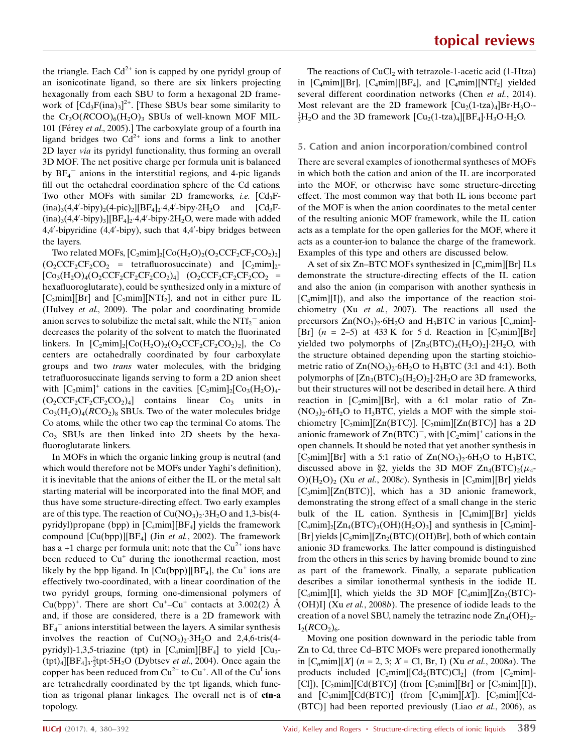the triangle. Each  $Cd^{2+}$  ion is capped by one pyridyl group of an isonicotinate ligand, so there are six linkers projecting hexagonally from each SBU to form a hexagonal 2D framework of  $\left[\text{Cd}_3\text{F}(\text{ina})_3\right]^{2+}$ . [These SBUs bear some similarity to the  $Cr_3O(RCOO)_6(H_2O)_3$  SBUs of well-known MOF MIL-101 (Férey et al., 2005).] The carboxylate group of a fourth ina ligand bridges two  $Cd^{2+}$  ions and forms a link to another 2D layer via its pyridyl functionality, thus forming an overall 3D MOF. The net positive charge per formula unit is balanced by  $BF_4^-$  anions in the interstitial regions, and 4-pic ligands fill out the octahedral coordination sphere of the Cd cations. Two other MOFs with similar 2D frameworks, *i.e.*  $[Cd<sub>3</sub>F (ina)_{3}(4,4'-bipy)_{2}(4-pic)_{2}][BF_{4}]_{2}\cdot4,4'-bipy\cdot2H_{2}O$  and  $[Cd_{3}F (ina)_{3}(4,4'-bipy)_{3}][BF_{4}]_{2}\cdot4,4'-bipy\cdot2H_{2}O,$  were made with added 4,4'-bipyridine (4,4'-bipy), such that 4,4'-bipy bridges between the layers.

Two related MOFs,  $[C_2 \text{min}]_2[C_0(H_2O)_2(O_2CCF_2CF_2CO_2)_2]$  $(O_2CCF_2CF_2CO_2$  = tetrafluorosuccinate) and  $[C_2mim]_2$ - $[Co_{3}(H_{2}O)_{4}(O_{2}CCF_{2}CF_{2}CO_{2})_{4}]$   $(O_{2}CCF_{2}CF_{2}CF_{2}CO_{2}$  = hexafluoroglutarate), could be synthesized only in a mixture of  $[C_2$ mim][Br] and  $[C_2$ mim][NTf<sub>2</sub>], and not in either pure IL (Hulvey et al., 2009). The polar and coordinating bromide anion serves to solubilize the metal salt, while the  $NTf_2^-$  anion decreases the polarity of the solvent to match the fluorinated linkers. In  $[C_2mim]_2[Co(H_2O)_2(O_2CCF_2CF_2CO_2)_2]$ , the Co centers are octahedrally coordinated by four carboxylate groups and two trans water molecules, with the bridging tetrafluorosuccinate ligands serving to form a 2D anion sheet with  $[C_2mim]^+$  cations in the cavities.  $[C_2mim]_2[C_0(0)_{4}$ - $(O_2CCF_2CF_2CF_2CO_2)_4$  contains linear  $Co_3$  units in  $Co<sub>3</sub>(H<sub>2</sub>O)<sub>4</sub>(RCO<sub>2</sub>)<sub>8</sub>$  SBUs. Two of the water molecules bridge Co atoms, while the other two cap the terminal Co atoms. The  $Co<sub>3</sub>$  SBUs are then linked into 2D sheets by the hexafluoroglutarate linkers.

In MOFs in which the organic linking group is neutral (and which would therefore not be MOFs under Yaghi's definition), it is inevitable that the anions of either the IL or the metal salt starting material will be incorporated into the final MOF, and thus have some structure-directing effect. Two early examples are of this type. The reaction of  $Cu(NO<sub>3</sub>)<sub>2</sub>·3H<sub>2</sub>O$  and 1,3-bis(4pyridyl)propane (bpp) in  $[C_4$ mim][BF<sub>4</sub>] yields the framework compound  $\text{[Cu(bpp)]}[BF_4]$  (Jin *et al.*, 2002). The framework has a +1 charge per formula unit; note that the  $Cu^{2+}$  ions have been reduced to  $Cu<sup>+</sup>$  during the ionothermal reaction, most likely by the bpp ligand. In  $\text{[Cu(bpp)]}[BF_4]$ , the Cu<sup>+</sup> ions are effectively two-coordinated, with a linear coordination of the two pyridyl groups, forming one-dimensional polymers of Cu(bpp)<sup>+</sup>. There are short Cu<sup>+</sup>-Cu<sup>+</sup> contacts at 3.002(2)  $\AA$ and, if those are considered, there is a 2D framework with  $BF_4^-$  anions interstitial between the layers. A similar synthesis involves the reaction of  $Cu(NO<sub>3</sub>)<sub>2</sub>·3H<sub>2</sub>O$  and 2,4,6-tris(4pyridyl)-1,3,5-triazine (tpt) in  $[C_4$ mim][BF<sub>4</sub>] to yield  $[C_4]$  $(tpt)_4$ [BF<sub>4</sub>]<sub>3</sub>·<sup>2</sup><sub>3</sub>tpt·5H<sub>2</sub>O (Dybtsev *et al.*, 2004). Once again the copper has been reduced from  $Cu^{2+}$  to  $Cu^{+}$ . All of the  $Cu^{1}$  ions are tetrahedrally coordinated by the tpt ligands, which function as trigonal planar linkages. The overall net is of ctn-a topology.

The reactions of  $CuCl<sub>2</sub>$  with tetrazole-1-acetic acid (1-Htza) in  $[C_4mim][Br]$ ,  $[C_4mim][BF_4]$ , and  $[C_4mim][NTf_2]$  yielded several different coordination networks (Chen et al., 2014). Most relevant are the 2D framework  $\left[\text{Cu}_{2}\right]\left(1-\text{tza}\right)_{4}\right]\text{Br}\cdot\text{H}_{3}\text{O} \frac{1}{3}H_2O$  and the 3D framework  $\text{[Cu}_2(1\text{-}tza)_4\text{][BF}_4\text{]\cdotH}_3O\text{-}H_2O.$ 

### 5. Cation and anion incorporation/combined control

There are several examples of ionothermal syntheses of MOFs in which both the cation and anion of the IL are incorporated into the MOF, or otherwise have some structure-directing effect. The most common way that both IL ions become part of the MOF is when the anion coordinates to the metal center of the resulting anionic MOF framework, while the IL cation acts as a template for the open galleries for the MOF, where it acts as a counter-ion to balance the charge of the framework. Examples of this type and others are discussed below.

A set of six Zn–BTC MOFs synthesized in  $[C_n m i m][Br]$  ILs demonstrate the structure-directing effects of the IL cation and also the anion (in comparison with another synthesis in  $[C_4$ mim][I]), and also the importance of the reaction stoichiometry (Xu et al., 2007). The reactions all used the precursors  $Zn(NO_3)$ <sup>2</sup>.6H<sub>2</sub>O and H<sub>3</sub>BTC in various  $[C_n m i m]$ -[Br]  $(n = 2-5)$  at 433 K for 5 d. Reaction in [C<sub>2</sub>mim][Br] yielded two polymorphs of  $[Zn_3(BTC)_2(H_2O)_2]$ <sup>2</sup>H<sub>2</sub>O, with the structure obtained depending upon the starting stoichiometric ratio of  $Zn(NO_3)$ . 6H<sub>2</sub>O to H<sub>3</sub>BTC (3:1 and 4:1). Both polymorphs of  $[Zn_3(BTC)_2(H_2O)_2]$ . 2H<sub>2</sub>O are 3D frameworks, but their structures will not be described in detail here. A third reaction in  $[C_2mim][Br]$ , with a 6:1 molar ratio of Zn- $(NO<sub>3</sub>)<sub>2</sub>·6H<sub>2</sub>O$  to H<sub>3</sub>BTC, yields a MOF with the simple stoichiometry  $[C_2mim][Zn(BTC)]$ .  $[C_2mim][Zn(BTC)]$  has a 2D anionic framework of  $\text{Zn}(BTC)^{-}$ , with  $[C_2\text{mim}]^+$  cations in the open channels. It should be noted that yet another synthesis in [C<sub>2</sub>mim][Br] with a 5:1 ratio of  $Zn(NO<sub>3</sub>)<sub>2</sub>·6H<sub>2</sub>O$  to H<sub>3</sub>BTC, discussed above in §2, yields the 3D MOF  $Zn_4(BTC)_2(\mu_4-$ O)( $H_2O$ )<sub>2</sub> (Xu et al., 2008c). Synthesis in [C<sub>3</sub>mim][Br] yields  $[C_3$ mim][Zn(BTC)], which has a 3D anionic framework, demonstrating the strong effect of a small change in the steric bulk of the IL cation. Synthesis in  $[C_4 \text{min}][Br]$  yields  $[C_4mim]_2[Zn_4(BTC)_3(OH)(H_2O)_3]$  and synthesis in  $[C_5mim]$ -[Br] yields  $[C_5mim][Zn_2(BTC)(OH)Br]$ , both of which contain anionic 3D frameworks. The latter compound is distinguished from the others in this series by having bromide bound to zinc as part of the framework. Finally, a separate publication describes a similar ionothermal synthesis in the iodide IL [C<sub>4</sub>mim][I], which yields the 3D MOF [C<sub>4</sub>mim][Zn<sub>2</sub>(BTC)-(OH)I] (Xu et al., 2008b). The presence of iodide leads to the creation of a novel SBU, namely the tetrazinc node  $Zn_4(OH)_{2}$ - $I_2(RCO_2)_{6.}$ 

Moving one position downward in the periodic table from Zn to Cd, three Cd–BTC MOFs were prepared ionothermally in  $[C_n m i m][X]$  (*n* = 2, 3; *X* = Cl, Br, I) (*Xu et al., 2008a*). The products included  $[C_2mim][Cd_2(BTC)Cl_2]$  (from  $[C_2mim]$ -[Cl]),  $[C_2 \text{mim}][Cd(BTC)]$  (from  $[C_2 \text{mim}][Br]$  or  $[C_2 \text{mim}][I]$ ), and  $[C_3min][Cd(BTC)]$  (from  $[C_3min][X]$ ).  $[C_2min][Cd$ -(BTC)] had been reported previously (Liao et al., 2006), as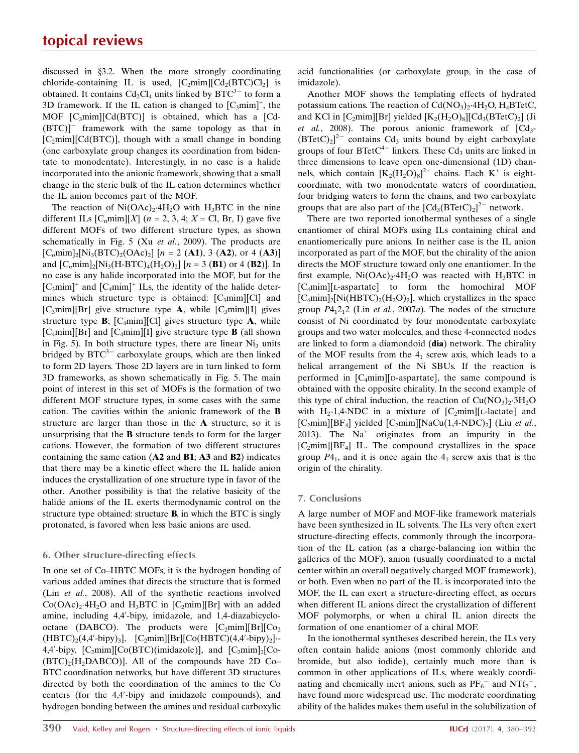## topical reviews

discussed in §3.2. When the more strongly coordinating chloride-containing IL is used,  $[C_2 \text{min}][\text{Cd}_2(\text{BTC})\text{Cl}_2]$  is obtained. It contains  $Cd_2Cl_4$  units linked by  $BTC^{3-}$  to form a 3D framework. If the IL cation is changed to  $[C_3min]^+$ , the MOF  $[C_3$ mim] $[Cd(BTC)]$  is obtained, which has a  $[Cd-$ (BTC)]- framework with the same topology as that in  $[C_2min][Cd(BTC)]$ , though with a small change in bonding (one carboxylate group changes its coordination from bidentate to monodentate). Interestingly, in no case is a halide incorporated into the anionic framework, showing that a small change in the steric bulk of the IL cation determines whether the IL anion becomes part of the MOF.

The reaction of  $Ni(OAc)<sub>2</sub>·4H<sub>2</sub>O$  with H<sub>3</sub>BTC in the nine different ILs  $[C_n m i m][X]$  (*n* = 2, 3, 4; *X* = Cl, Br, I) gave five different MOFs of two different structure types, as shown schematically in Fig. 5 (Xu et al., 2009). The products are  $[C_{n}min]_{2}[Ni_{3}(BTC)_{2}(OAc)_{2}]$   $[n = 2(A1), 3(A2),$  or 4  $(A3)]$ and  $[C_nmin]_2[N_3(H-BTC)_4(H_2O)_2]$  [n = 3 (B1) or 4 (B2)]. In no case is any halide incorporated into the MOF, but for the  $[C_3$ mim]<sup>+</sup> and  $[C_4$ mim]<sup>+</sup> ILs, the identity of the halide determines which structure type is obtained:  $[C<sub>3</sub>min][Cl]$  and  $[C_3$ mim][Br] give structure type **A**, while  $[C_3$ mim][I] gives structure type  $\mathbf{B}$ ; [C<sub>4</sub>mim][Cl] gives structure type  $\mathbf{A}$ , while  $[C_4$ mim][Br] and  $[C_4$ mim][I] give structure type **B** (all shown in Fig. 5). In both structure types, there are linear  $Ni<sub>3</sub>$  units bridged by  $BTC^{3-}$  carboxylate groups, which are then linked to form 2D layers. Those 2D layers are in turn linked to form 3D frameworks, as shown schematically in Fig. 5. The main point of interest in this set of MOFs is the formation of two different MOF structure types, in some cases with the same cation. The cavities within the anionic framework of the B structure are larger than those in the A structure, so it is unsurprising that the B structure tends to form for the larger cations. However, the formation of two different structures containing the same cation  $(A2 \text{ and } B1; A3 \text{ and } B2)$  indicates that there may be a kinetic effect where the IL halide anion induces the crystallization of one structure type in favor of the other. Another possibility is that the relative basicity of the halide anions of the IL exerts thermodynamic control on the structure type obtained: structure B, in which the BTC is singly protonated, is favored when less basic anions are used.

## 6. Other structure-directing effects

In one set of Co–HBTC MOFs, it is the hydrogen bonding of various added amines that directs the structure that is formed (Lin et al., 2008). All of the synthetic reactions involved  $Co(OAc)<sub>2</sub>·4H<sub>2</sub>O$  and H<sub>3</sub>BTC in  $[C<sub>2</sub>min][Br]$  with an added amine, including 4,4'-bipy, imidazole, and 1,4-diazabicyclooctane (DABCO). The products were  $[C_2mim][Br][C_0]$  $(HBTC)_2(4,4'-bipy)_3$ ,  $[C_2min][Br][Co(HBTC)(4,4'-bipy)_2]$ . 4,4'-bipy,  $[C_2 \text{min}][\text{Co}(BTC)(\text{imidazole})]$ , and  $[C_2 \text{min}]_2[C_0 (BTC)_2(H_2DABCO)$ ]. All of the compounds have 2D Co– BTC coordination networks, but have different 3D structures directed by both the coordination of the amines to the Co centers (for the 4,4'-bipy and imidazole compounds), and hydrogen bonding between the amines and residual carboxylic acid functionalities (or carboxylate group, in the case of imidazole).

Another MOF shows the templating effects of hydrated potassium cations. The reaction of  $Cd(NO<sub>3</sub>)<sub>2</sub>·4H<sub>2</sub>O, H<sub>4</sub>BTetC,$ and KCl in  $[C_2mim][Br]$  yielded  $[K_2(H_2O)_8][Cd_3(BTetC)_2]$  (Ji et al., 2008). The porous anionic framework of  $\lceil Cd_3 (BTetC)<sub>2</sub>$ <sup>2-</sup> contains Cd<sub>3</sub> units bound by eight carboxylate groups of four  $B\text{Tet}C^{4-}$  linkers. These  $Cd_3$  units are linked in three dimensions to leave open one-dimensional (1D) channels, which contain  $[K_2(H_2O)_8]^{2+}$  chains. Each  $K^+$  is eightcoordinate, with two monodentate waters of coordination, four bridging waters to form the chains, and two carboxylate groups that are also part of the  $\left[Cd_{3}(B\textrm{Tet}C)_{2}\right]^{2-}$  network.

There are two reported ionothermal syntheses of a single enantiomer of chiral MOFs using ILs containing chiral and enantiomerically pure anions. In neither case is the IL anion incorporated as part of the MOF, but the chirality of the anion directs the MOF structure toward only one enantiomer. In the first example,  $Ni(OAc)_{2} \cdot 4H_{2}O$  was reacted with  $H_{3}BTC$  in [C4mim][l-aspartate] to form the homochiral MOF  $[C_4$ mim]<sub>2</sub>[Ni(HBTC)<sub>2</sub>(H<sub>2</sub>O)<sub>2</sub>], which crystallizes in the space group  $P4_12_12$  (Lin *et al.*, 2007*a*). The nodes of the structure consist of Ni coordinated by four monodentate carboxylate groups and two water molecules, and these 4-connected nodes are linked to form a diamondoid (dia) network. The chirality of the MOF results from the  $4<sub>1</sub>$  screw axis, which leads to a helical arrangement of the Ni SBUs. If the reaction is performed in  $[C_4mim][p$ -aspartate], the same compound is obtained with the opposite chirality. In the second example of this type of chiral induction, the reaction of  $Cu(NO<sub>3</sub>)<sub>2</sub>·3H<sub>2</sub>O$ with H<sub>2</sub>-1,4-NDC in a mixture of  $[C_2mim][L$ -lactate] and  $[C_2$ mim][BF<sub>4</sub>] yielded  $[C_2$ mim][NaCu(1,4-NDC)<sub>2</sub>] (Liu *et al.*, 2013). The  $Na<sup>+</sup>$  originates from an impurity in the  $[C<sub>2</sub>min][BF<sub>4</sub>]$  IL. The compound crystallizes in the space group  $P_1$ , and it is once again the  $4_1$  screw axis that is the origin of the chirality.

### 7. Conclusions

A large number of MOF and MOF-like framework materials have been synthesized in IL solvents. The ILs very often exert structure-directing effects, commonly through the incorporation of the IL cation (as a charge-balancing ion within the galleries of the MOF), anion (usually coordinated to a metal center within an overall negatively charged MOF framework), or both. Even when no part of the IL is incorporated into the MOF, the IL can exert a structure-directing effect, as occurs when different IL anions direct the crystallization of different MOF polymorphs, or when a chiral IL anion directs the formation of one enantiomer of a chiral MOF.

In the ionothermal syntheses described herein, the ILs very often contain halide anions (most commonly chloride and bromide, but also iodide), certainly much more than is common in other applications of ILs, where weakly coordinating and chemically inert anions, such as  $PF_6^-$  and  $NTf_2^-$ , have found more widespread use. The moderate coordinating ability of the halides makes them useful in the solubilization of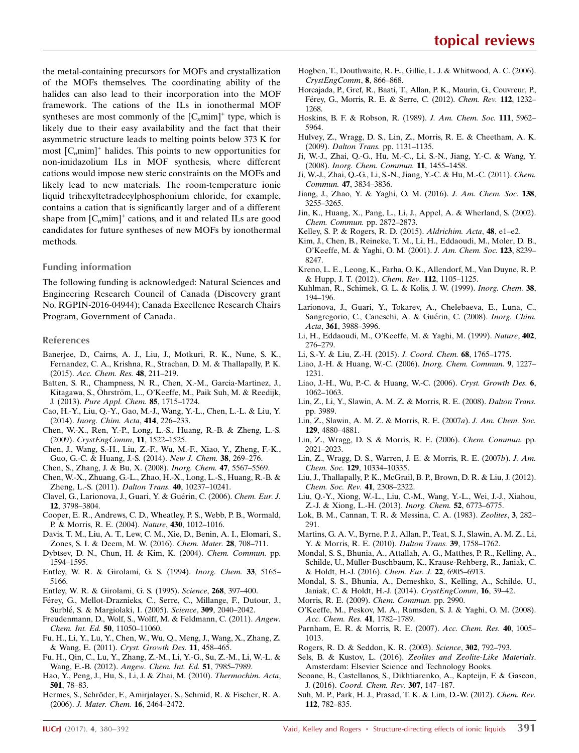the metal-containing precursors for MOFs and crystallization of the MOFs themselves. The coordinating ability of the halides can also lead to their incorporation into the MOF framework. The cations of the ILs in ionothermal MOF syntheses are most commonly of the  $[C_n m i m]^+$  type, which is likely due to their easy availability and the fact that their asymmetric structure leads to melting points below 373 K for most  $[C_{n}]$ <sup>+</sup> halides. This points to new opportunities for non-imidazolium ILs in MOF synthesis, where different cations would impose new steric constraints on the MOFs and likely lead to new materials. The room-temperature ionic liquid trihexyltetradecylphosphonium chloride, for example, contains a cation that is significantly larger and of a different shape from  $[C_nmin]^+$  cations, and it and related ILs are good candidates for future syntheses of new MOFs by ionothermal methods.

#### Funding information

The following funding is acknowledged: Natural Sciences and Engineering Research Council of Canada (Discovery grant No. RGPIN-2016-04944); Canada Excellence Research Chairs Program, Government of Canada.

#### References

- [Banerjee, D., Cairns, A. J., Liu, J., Motkuri, R. K., Nune, S. K.,](http://scripts.iucr.org/cgi-bin/cr.cgi?rm=pdfbb&cnor=lq5007&bbid=BB1) [Fernandez, C. A., Krishna, R., Strachan, D. M. & Thallapally, P. K.](http://scripts.iucr.org/cgi-bin/cr.cgi?rm=pdfbb&cnor=lq5007&bbid=BB1) (2015). [Acc. Chem. Res.](http://scripts.iucr.org/cgi-bin/cr.cgi?rm=pdfbb&cnor=lq5007&bbid=BB1) 48, 211–219.
- [Batten, S. R., Champness, N. R., Chen, X.-M., Garcia-Martinez, J.,](http://scripts.iucr.org/cgi-bin/cr.cgi?rm=pdfbb&cnor=lq5007&bbid=BB2) Kitagawa, S., Ohrström, L., O'Keeffe, M., Paik Suh, M. & Reedijk, J. (2013). [Pure Appl. Chem.](http://scripts.iucr.org/cgi-bin/cr.cgi?rm=pdfbb&cnor=lq5007&bbid=BB2) 85, 1715–1724.
- [Cao, H.-Y., Liu, Q.-Y., Gao, M.-J., Wang, Y.-L., Chen, L.-L. & Liu, Y.](http://scripts.iucr.org/cgi-bin/cr.cgi?rm=pdfbb&cnor=lq5007&bbid=BB3) (2014). [Inorg. Chim. Acta](http://scripts.iucr.org/cgi-bin/cr.cgi?rm=pdfbb&cnor=lq5007&bbid=BB3), 414, 226–233.
- [Chen, W.-X., Ren, Y.-P., Long, L.-S., Huang, R.-B. & Zheng, L.-S.](http://scripts.iucr.org/cgi-bin/cr.cgi?rm=pdfbb&cnor=lq5007&bbid=BB4) (2009). [CrystEngComm](http://scripts.iucr.org/cgi-bin/cr.cgi?rm=pdfbb&cnor=lq5007&bbid=BB4), 11, 1522–1525.
- [Chen, J., Wang, S.-H., Liu, Z.-F., Wu, M.-F., Xiao, Y., Zheng, F.-K.,](http://scripts.iucr.org/cgi-bin/cr.cgi?rm=pdfbb&cnor=lq5007&bbid=BB5) [Guo, G.-C. & Huang, J.-S. \(2014\).](http://scripts.iucr.org/cgi-bin/cr.cgi?rm=pdfbb&cnor=lq5007&bbid=BB5) New J. Chem. 38, 269–276.
- [Chen, S., Zhang, J. & Bu, X. \(2008\).](http://scripts.iucr.org/cgi-bin/cr.cgi?rm=pdfbb&cnor=lq5007&bbid=BB6) Inorg. Chem. 47, 5567–5569.
- [Chen, W.-X., Zhuang, G.-L., Zhao, H.-X., Long, L.-S., Huang, R.-B. &](http://scripts.iucr.org/cgi-bin/cr.cgi?rm=pdfbb&cnor=lq5007&bbid=BB7) [Zheng, L.-S. \(2011\).](http://scripts.iucr.org/cgi-bin/cr.cgi?rm=pdfbb&cnor=lq5007&bbid=BB7) Dalton Trans. 40, 10237–10241.
- Clavel, G., Larionova, J., Guari, Y. & Guérin, C. (2006). Chem. Eur. J. 12[, 3798–3804.](http://scripts.iucr.org/cgi-bin/cr.cgi?rm=pdfbb&cnor=lq5007&bbid=BB8)
- [Cooper, E. R., Andrews, C. D., Wheatley, P. S., Webb, P. B., Wormald,](http://scripts.iucr.org/cgi-bin/cr.cgi?rm=pdfbb&cnor=lq5007&bbid=BB9) [P. & Morris, R. E. \(2004\).](http://scripts.iucr.org/cgi-bin/cr.cgi?rm=pdfbb&cnor=lq5007&bbid=BB9) Nature, 430, 1012–1016.
- [Davis, T. M., Liu, A. T., Lew, C. M., Xie, D., Benin, A. I., Elomari, S.,](http://scripts.iucr.org/cgi-bin/cr.cgi?rm=pdfbb&cnor=lq5007&bbid=BB10) [Zones, S. I. & Deem, M. W. \(2016\).](http://scripts.iucr.org/cgi-bin/cr.cgi?rm=pdfbb&cnor=lq5007&bbid=BB10) Chem. Mater. 28, 708–711.
- [Dybtsev, D. N., Chun, H. & Kim, K. \(2004\).](http://scripts.iucr.org/cgi-bin/cr.cgi?rm=pdfbb&cnor=lq5007&bbid=BB11) Chem. Commun. pp. [1594–1595.](http://scripts.iucr.org/cgi-bin/cr.cgi?rm=pdfbb&cnor=lq5007&bbid=BB11)
- [Entley, W. R. & Girolami, G. S. \(1994\).](http://scripts.iucr.org/cgi-bin/cr.cgi?rm=pdfbb&cnor=lq5007&bbid=BB12) Inorg. Chem. 33, 5165– [5166.](http://scripts.iucr.org/cgi-bin/cr.cgi?rm=pdfbb&cnor=lq5007&bbid=BB12)
- [Entley, W. R. & Girolami, G. S. \(1995\).](http://scripts.iucr.org/cgi-bin/cr.cgi?rm=pdfbb&cnor=lq5007&bbid=BB13) Science, 268, 397–400.
- Férey, G., Mellot-Draznieks, C., Serre, C., Millange, F., Dutour, J., Surblé, S. & Margiolaki, I. (2005). Science, 309, 2040-2042.
- [Freudenmann, D., Wolf, S., Wolff, M. & Feldmann, C. \(2011\).](http://scripts.iucr.org/cgi-bin/cr.cgi?rm=pdfbb&cnor=lq5007&bbid=BB15) Angew. [Chem. Int. Ed.](http://scripts.iucr.org/cgi-bin/cr.cgi?rm=pdfbb&cnor=lq5007&bbid=BB15) 50, 11050–11060.
- [Fu, H., Li, Y., Lu, Y., Chen, W., Wu, Q., Meng, J., Wang, X., Zhang, Z.](http://scripts.iucr.org/cgi-bin/cr.cgi?rm=pdfbb&cnor=lq5007&bbid=BB16) [& Wang, E. \(2011\).](http://scripts.iucr.org/cgi-bin/cr.cgi?rm=pdfbb&cnor=lq5007&bbid=BB16) Cryst. Growth Des. 11, 458–465.
- [Fu, H., Qin, C., Lu, Y., Zhang, Z.-M., Li, Y.-G., Su, Z.-M., Li, W.-L. &](http://scripts.iucr.org/cgi-bin/cr.cgi?rm=pdfbb&cnor=lq5007&bbid=BB17) Wang, E.-B. (2012). [Angew. Chem. Int. Ed.](http://scripts.iucr.org/cgi-bin/cr.cgi?rm=pdfbb&cnor=lq5007&bbid=BB17) 51, 7985-7989.
- [Hao, Y., Peng, J., Hu, S., Li, J. & Zhai, M. \(2010\).](http://scripts.iucr.org/cgi-bin/cr.cgi?rm=pdfbb&cnor=lq5007&bbid=BB18) Thermochim. Acta, 501[, 78–83.](http://scripts.iucr.org/cgi-bin/cr.cgi?rm=pdfbb&cnor=lq5007&bbid=BB18)
- Hermes, S., Schröder, F., Amirjalayer, S., Schmid, R. & Fischer, R. A. (2006). [J. Mater. Chem.](http://scripts.iucr.org/cgi-bin/cr.cgi?rm=pdfbb&cnor=lq5007&bbid=BB19) 16, 2464–2472.
- [Hogben, T., Douthwaite, R. E., Gillie, L. J. & Whitwood, A. C. \(2006\).](http://scripts.iucr.org/cgi-bin/cr.cgi?rm=pdfbb&cnor=lq5007&bbid=BB20) [CrystEngComm](http://scripts.iucr.org/cgi-bin/cr.cgi?rm=pdfbb&cnor=lq5007&bbid=BB20), 8, 866–868.
- [Horcajada, P., Gref, R., Baati, T., Allan, P. K., Maurin, G., Couvreur, P.,](http://scripts.iucr.org/cgi-bin/cr.cgi?rm=pdfbb&cnor=lq5007&bbid=BB21) Férey, G., Morris, R. E. & Serre, C. (2012). Chem. Rev. 112, 1232-[1268.](http://scripts.iucr.org/cgi-bin/cr.cgi?rm=pdfbb&cnor=lq5007&bbid=BB21)
- [Hoskins, B. F. & Robson, R. \(1989\).](http://scripts.iucr.org/cgi-bin/cr.cgi?rm=pdfbb&cnor=lq5007&bbid=BB22) J. Am. Chem. Soc. 111, 5962– [5964.](http://scripts.iucr.org/cgi-bin/cr.cgi?rm=pdfbb&cnor=lq5007&bbid=BB22)
- [Hulvey, Z., Wragg, D. S., Lin, Z., Morris, R. E. & Cheetham, A. K.](http://scripts.iucr.org/cgi-bin/cr.cgi?rm=pdfbb&cnor=lq5007&bbid=BB23) (2009). Dalton Trans. [pp. 1131–1135.](http://scripts.iucr.org/cgi-bin/cr.cgi?rm=pdfbb&cnor=lq5007&bbid=BB23)
- [Ji, W.-J., Zhai, Q.-G., Hu, M.-C., Li, S.-N., Jiang, Y.-C. & Wang, Y.](http://scripts.iucr.org/cgi-bin/cr.cgi?rm=pdfbb&cnor=lq5007&bbid=BB24) (2008). [Inorg. Chem. Commun.](http://scripts.iucr.org/cgi-bin/cr.cgi?rm=pdfbb&cnor=lq5007&bbid=BB24) 11, 1455–1458.
- [Ji, W.-J., Zhai, Q.-G., Li, S.-N., Jiang, Y.-C. & Hu, M.-C. \(2011\).](http://scripts.iucr.org/cgi-bin/cr.cgi?rm=pdfbb&cnor=lq5007&bbid=BB25) Chem. Commun. 47[, 3834–3836.](http://scripts.iucr.org/cgi-bin/cr.cgi?rm=pdfbb&cnor=lq5007&bbid=BB25)
- [Jiang, J., Zhao, Y. & Yaghi, O. M. \(2016\).](http://scripts.iucr.org/cgi-bin/cr.cgi?rm=pdfbb&cnor=lq5007&bbid=BB26) J. Am. Chem. Soc. 138, [3255–3265.](http://scripts.iucr.org/cgi-bin/cr.cgi?rm=pdfbb&cnor=lq5007&bbid=BB26)
- [Jin, K., Huang, X., Pang, L., Li, J., Appel, A. & Wherland, S. \(2002\).](http://scripts.iucr.org/cgi-bin/cr.cgi?rm=pdfbb&cnor=lq5007&bbid=BB27) [Chem. Commun.](http://scripts.iucr.org/cgi-bin/cr.cgi?rm=pdfbb&cnor=lq5007&bbid=BB27) pp. 2872–2873.
- [Kelley, S. P. & Rogers, R. D. \(2015\).](http://scripts.iucr.org/cgi-bin/cr.cgi?rm=pdfbb&cnor=lq5007&bbid=BB28) Aldrichim. Acta, 48, e1–e2.
- [Kim, J., Chen, B., Reineke, T. M., Li, H., Eddaoudi, M., Moler, D. B.,](http://scripts.iucr.org/cgi-bin/cr.cgi?rm=pdfbb&cnor=lq5007&bbid=BB29) [O'Keeffe, M. & Yaghi, O. M. \(2001\).](http://scripts.iucr.org/cgi-bin/cr.cgi?rm=pdfbb&cnor=lq5007&bbid=BB29) J. Am. Chem. Soc. 123, 8239– [8247.](http://scripts.iucr.org/cgi-bin/cr.cgi?rm=pdfbb&cnor=lq5007&bbid=BB29)
- [Kreno, L. E., Leong, K., Farha, O. K., Allendorf, M., Van Duyne, R. P.](http://scripts.iucr.org/cgi-bin/cr.cgi?rm=pdfbb&cnor=lq5007&bbid=BB30) [& Hupp, J. T. \(2012\).](http://scripts.iucr.org/cgi-bin/cr.cgi?rm=pdfbb&cnor=lq5007&bbid=BB30) Chem. Rev. 112, 1105–1125.
- [Kuhlman, R., Schimek, G. L. & Kolis, J. W. \(1999\).](http://scripts.iucr.org/cgi-bin/cr.cgi?rm=pdfbb&cnor=lq5007&bbid=BB31) Inorg. Chem. 38, [194–196.](http://scripts.iucr.org/cgi-bin/cr.cgi?rm=pdfbb&cnor=lq5007&bbid=BB31)
- [Larionova, J., Guari, Y., Tokarev, A., Chelebaeva, E., Luna, C.,](http://scripts.iucr.org/cgi-bin/cr.cgi?rm=pdfbb&cnor=lq5007&bbid=BB32) Sangregorio, C., Caneschi, A. & Guérin, C. (2008). Inorg. Chim. Acta, 361, 3988-3996.
- [Li, H., Eddaoudi, M., O'Keeffe, M. & Yaghi, M. \(1999\).](http://scripts.iucr.org/cgi-bin/cr.cgi?rm=pdfbb&cnor=lq5007&bbid=BB33) Nature, 402, [276–279.](http://scripts.iucr.org/cgi-bin/cr.cgi?rm=pdfbb&cnor=lq5007&bbid=BB33)
- [Li, S.-Y. & Liu, Z.-H. \(2015\).](http://scripts.iucr.org/cgi-bin/cr.cgi?rm=pdfbb&cnor=lq5007&bbid=BB34) J. Coord. Chem. 68, 1765–1775.
- [Liao, J.-H. & Huang, W.-C. \(2006\).](http://scripts.iucr.org/cgi-bin/cr.cgi?rm=pdfbb&cnor=lq5007&bbid=BB35) Inorg. Chem. Commun. 9, 1227– [1231.](http://scripts.iucr.org/cgi-bin/cr.cgi?rm=pdfbb&cnor=lq5007&bbid=BB35)
- [Liao, J.-H., Wu, P.-C. & Huang, W.-C. \(2006\).](http://scripts.iucr.org/cgi-bin/cr.cgi?rm=pdfbb&cnor=lq5007&bbid=BB36) Cryst. Growth Des. 6, [1062–1063.](http://scripts.iucr.org/cgi-bin/cr.cgi?rm=pdfbb&cnor=lq5007&bbid=BB36)
- [Lin, Z., Li, Y., Slawin, A. M. Z. & Morris, R. E. \(2008\).](http://scripts.iucr.org/cgi-bin/cr.cgi?rm=pdfbb&cnor=lq5007&bbid=BB37) Dalton Trans. [pp. 3989.](http://scripts.iucr.org/cgi-bin/cr.cgi?rm=pdfbb&cnor=lq5007&bbid=BB37)
- [Lin, Z., Slawin, A. M. Z. & Morris, R. E. \(2007](http://scripts.iucr.org/cgi-bin/cr.cgi?rm=pdfbb&cnor=lq5007&bbid=BB38)a). J. Am. Chem. Soc. 129[, 4880–4881.](http://scripts.iucr.org/cgi-bin/cr.cgi?rm=pdfbb&cnor=lq5007&bbid=BB38)
- [Lin, Z., Wragg, D. S. & Morris, R. E. \(2006\).](http://scripts.iucr.org/cgi-bin/cr.cgi?rm=pdfbb&cnor=lq5007&bbid=BB39) Chem. Commun. pp. [2021–2023.](http://scripts.iucr.org/cgi-bin/cr.cgi?rm=pdfbb&cnor=lq5007&bbid=BB39)
- [Lin, Z., Wragg, D. S., Warren, J. E. & Morris, R. E. \(2007](http://scripts.iucr.org/cgi-bin/cr.cgi?rm=pdfbb&cnor=lq5007&bbid=BB40)b). J. Am. Chem. Soc. 129[, 10334–10335.](http://scripts.iucr.org/cgi-bin/cr.cgi?rm=pdfbb&cnor=lq5007&bbid=BB40)
- [Liu, J., Thallapally, P. K., McGrail, B. P., Brown, D. R. & Liu, J. \(2012\).](http://scripts.iucr.org/cgi-bin/cr.cgi?rm=pdfbb&cnor=lq5007&bbid=BB41) [Chem. Soc. Rev.](http://scripts.iucr.org/cgi-bin/cr.cgi?rm=pdfbb&cnor=lq5007&bbid=BB41) 41, 2308–2322.
- [Liu, Q.-Y., Xiong, W.-L., Liu, C.-M., Wang, Y.-L., Wei, J.-J., Xiahou,](http://scripts.iucr.org/cgi-bin/cr.cgi?rm=pdfbb&cnor=lq5007&bbid=BB42) [Z.-J. & Xiong, L.-H. \(2013\).](http://scripts.iucr.org/cgi-bin/cr.cgi?rm=pdfbb&cnor=lq5007&bbid=BB42) Inorg. Chem. 52, 6773–6775.
- [Lok, B. M., Cannan, T. R. & Messina, C. A. \(1983\).](http://scripts.iucr.org/cgi-bin/cr.cgi?rm=pdfbb&cnor=lq5007&bbid=BB43) Zeolites, 3, 282– [291.](http://scripts.iucr.org/cgi-bin/cr.cgi?rm=pdfbb&cnor=lq5007&bbid=BB43)
- [Martins, G. A. V., Byrne, P. J., Allan, P., Teat, S. J., Slawin, A. M. Z., Li,](http://scripts.iucr.org/cgi-bin/cr.cgi?rm=pdfbb&cnor=lq5007&bbid=BB44) [Y. & Morris, R. E. \(2010\).](http://scripts.iucr.org/cgi-bin/cr.cgi?rm=pdfbb&cnor=lq5007&bbid=BB44) Dalton Trans. 39, 1758–1762.
- [Mondal, S. S., Bhunia, A., Attallah, A. G., Matthes, P. R., Kelling, A.,](http://scripts.iucr.org/cgi-bin/cr.cgi?rm=pdfbb&cnor=lq5007&bbid=BB45) Schilde, U., Müller-Buschbaum, K., Krause-Rehberg, R., Janiak, C. [& Holdt, H.-J. \(2016\).](http://scripts.iucr.org/cgi-bin/cr.cgi?rm=pdfbb&cnor=lq5007&bbid=BB45) Chem. Eur. J. 22, 6905–6913.
- [Mondal, S. S., Bhunia, A., Demeshko, S., Kelling, A., Schilde, U.,](http://scripts.iucr.org/cgi-bin/cr.cgi?rm=pdfbb&cnor=lq5007&bbid=BB46) [Janiak, C. & Holdt, H.-J. \(2014\).](http://scripts.iucr.org/cgi-bin/cr.cgi?rm=pdfbb&cnor=lq5007&bbid=BB46) CrystEngComm, 16, 39–42.
- [Morris, R. E. \(2009\).](http://scripts.iucr.org/cgi-bin/cr.cgi?rm=pdfbb&cnor=lq5007&bbid=BB47) Chem. Commun. pp. 2990.
- [O'Keeffe, M., Peskov, M. A., Ramsden, S. J. & Yaghi, O. M. \(2008\).](http://scripts.iucr.org/cgi-bin/cr.cgi?rm=pdfbb&cnor=lq5007&bbid=BB48) [Acc. Chem. Res.](http://scripts.iucr.org/cgi-bin/cr.cgi?rm=pdfbb&cnor=lq5007&bbid=BB48) 41, 1782–1789.
- [Parnham, E. R. & Morris, R. E. \(2007\).](http://scripts.iucr.org/cgi-bin/cr.cgi?rm=pdfbb&cnor=lq5007&bbid=BB49) Acc. Chem. Res. 40, 1005– [1013.](http://scripts.iucr.org/cgi-bin/cr.cgi?rm=pdfbb&cnor=lq5007&bbid=BB49)
- [Rogers, R. D. & Seddon, K. R. \(2003\).](http://scripts.iucr.org/cgi-bin/cr.cgi?rm=pdfbb&cnor=lq5007&bbid=BB50) Science, 302, 792–793.
- Sels, B. & Kustov, L. (2016). [Zeolites and Zeolite-Like Materials](http://scripts.iucr.org/cgi-bin/cr.cgi?rm=pdfbb&cnor=lq5007&bbid=BB51). [Amsterdam: Elsevier Science and Technology Books.](http://scripts.iucr.org/cgi-bin/cr.cgi?rm=pdfbb&cnor=lq5007&bbid=BB51)
- [Seoane, B., Castellanos, S., Dikhtiarenko, A., Kapteijn, F. & Gascon,](http://scripts.iucr.org/cgi-bin/cr.cgi?rm=pdfbb&cnor=lq5007&bbid=BB52) J. (2016). [Coord. Chem. Rev.](http://scripts.iucr.org/cgi-bin/cr.cgi?rm=pdfbb&cnor=lq5007&bbid=BB52) 307, 147–187.
- [Suh, M. P., Park, H. J., Prasad, T. K. & Lim, D.-W. \(2012\).](http://scripts.iucr.org/cgi-bin/cr.cgi?rm=pdfbb&cnor=lq5007&bbid=BB53) Chem. Rev. 112[, 782–835.](http://scripts.iucr.org/cgi-bin/cr.cgi?rm=pdfbb&cnor=lq5007&bbid=BB53)